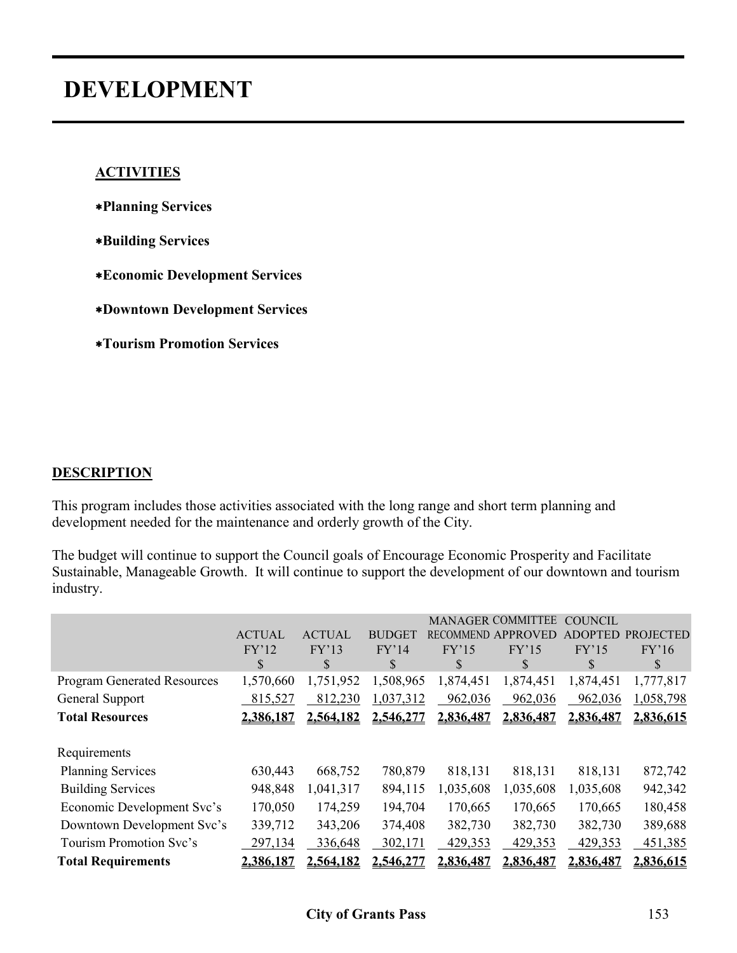# **DEVELOPMENT**

#### **ACTIVITIES**

- ∗**Planning Services**
- ∗**Building Services**
- ∗**Economic Development Services**
- ∗**Downtown Development Services**
- ∗**Tourism Promotion Services**

#### **DESCRIPTION**

This program includes those activities associated with the long range and short term planning and development needed for the maintenance and orderly growth of the City.

The budget will continue to support the Council goals of Encourage Economic Prosperity and Facilitate Sustainable, Manageable Growth. It will continue to support the development of our downtown and tourism industry.

|                                    |               |               |               |                  | <b>MANAGER COMMITTEE</b> | <b>COUNCIL</b> |                  |
|------------------------------------|---------------|---------------|---------------|------------------|--------------------------|----------------|------------------|
|                                    | <b>ACTUAL</b> | <b>ACTUAL</b> | <b>BUDGET</b> | <b>RECOMMEND</b> | <b>APPROVED</b>          | <b>ADOPTED</b> | <b>PROJECTED</b> |
|                                    | FY'12<br>\$   | FY'13<br>S    | FY'14<br>S    | FY'15<br>\$      | FY'15<br>\$              | FY'15<br>S     | FY'16<br>S       |
| <b>Program Generated Resources</b> | 1,570,660     | 1,751,952     | 1,508,965     | 1,874,451        | 1,874,451                | 1,874,451      | 1,777,817        |
| General Support                    | 815,527       | 812,230       | 1,037,312     | 962,036          | 962,036                  | 962,036        | 1,058,798        |
| <b>Total Resources</b>             | 2.386.187     | 2,564,182     | 2,546,277     | 2,836,487        | 2,836,487                | 2,836,487      | 2,836,615        |
|                                    |               |               |               |                  |                          |                |                  |
| Requirements                       |               |               |               |                  |                          |                |                  |
| <b>Planning Services</b>           | 630,443       | 668,752       | 780,879       | 818,131          | 818,131                  | 818,131        | 872,742          |
| <b>Building Services</b>           | 948,848       | 1,041,317     | 894,115       | 1,035,608        | 1,035,608                | 1,035,608      | 942,342          |
| Economic Development Svc's         | 170,050       | 174,259       | 194,704       | 170,665          | 170,665                  | 170,665        | 180,458          |
| Downtown Development Svc's         | 339,712       | 343,206       | 374,408       | 382,730          | 382,730                  | 382,730        | 389,688          |
| Tourism Promotion Svc's            | 297,134       | 336,648       | 302,171       | 429,353          | 429,353                  | 429,353        | 451,385          |
| <b>Total Requirements</b>          | 2.386.187     | 2,564,182     | 2.546.277     | 2.836.487        | 2,836,487                | 2.836.487      | 2,836,615        |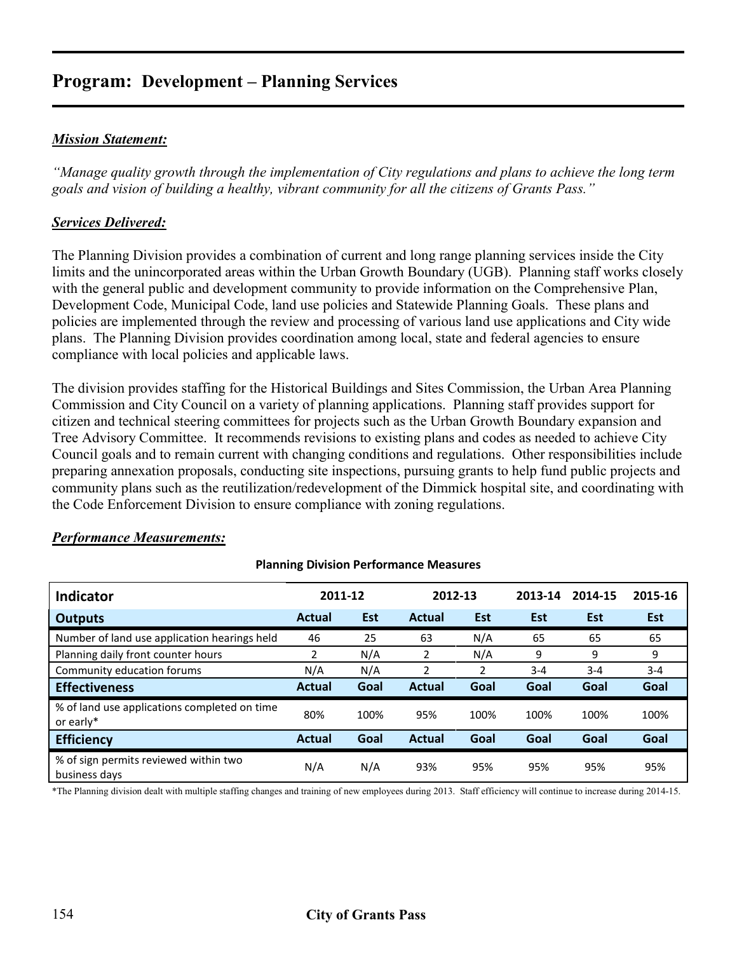#### *Mission Statement:*

*"Manage quality growth through the implementation of City regulations and plans to achieve the long term goals and vision of building a healthy, vibrant community for all the citizens of Grants Pass."* 

#### *Services Delivered:*

The Planning Division provides a combination of current and long range planning services inside the City limits and the unincorporated areas within the Urban Growth Boundary (UGB). Planning staff works closely with the general public and development community to provide information on the Comprehensive Plan, Development Code, Municipal Code, land use policies and Statewide Planning Goals. These plans and policies are implemented through the review and processing of various land use applications and City wide plans. The Planning Division provides coordination among local, state and federal agencies to ensure compliance with local policies and applicable laws.

The division provides staffing for the Historical Buildings and Sites Commission, the Urban Area Planning Commission and City Council on a variety of planning applications. Planning staff provides support for citizen and technical steering committees for projects such as the Urban Growth Boundary expansion and Tree Advisory Committee. It recommends revisions to existing plans and codes as needed to achieve City Council goals and to remain current with changing conditions and regulations. Other responsibilities include preparing annexation proposals, conducting site inspections, pursuing grants to help fund public projects and community plans such as the reutilization/redevelopment of the Dimmick hospital site, and coordinating with the Code Enforcement Division to ensure compliance with zoning regulations.

| <b>Indicator</b>                                          | 2011-12       |            | 2012-13       |            | 2013-14    | 2014-15    | 2015-16    |
|-----------------------------------------------------------|---------------|------------|---------------|------------|------------|------------|------------|
| <b>Outputs</b>                                            | Actual        | <b>Est</b> | Actual        | <b>Est</b> | <b>Est</b> | <b>Est</b> | <b>Est</b> |
| Number of land use application hearings held              | 46            | 25         | 63            | N/A        | 65         | 65         | 65         |
| Planning daily front counter hours                        | 2             | N/A        | 2             | N/A        | 9          | 9          | 9          |
| Community education forums                                | N/A           | N/A        | 2             | 2          | $3 - 4$    | $3 - 4$    | $3 - 4$    |
| <b>Effectiveness</b>                                      | <b>Actual</b> | Goal       | <b>Actual</b> | Goal       | Goal       | Goal       | Goal       |
| % of land use applications completed on time<br>or early* | 80%           | 100%       | 95%           | 100%       | 100%       | 100%       | 100%       |
| <b>Efficiency</b>                                         | <b>Actual</b> | Goal       | <b>Actual</b> | Goal       | Goal       | Goal       | Goal       |
| % of sign permits reviewed within two<br>business days    | N/A           | N/A        | 93%           | 95%        | 95%        | 95%        | 95%        |

**Planning Division Performance Measures**

#### *Performance Measurements:*

\*The Planning division dealt with multiple staffing changes and training of new employees during 2013. Staff efficiency will continue to increase during 2014-15.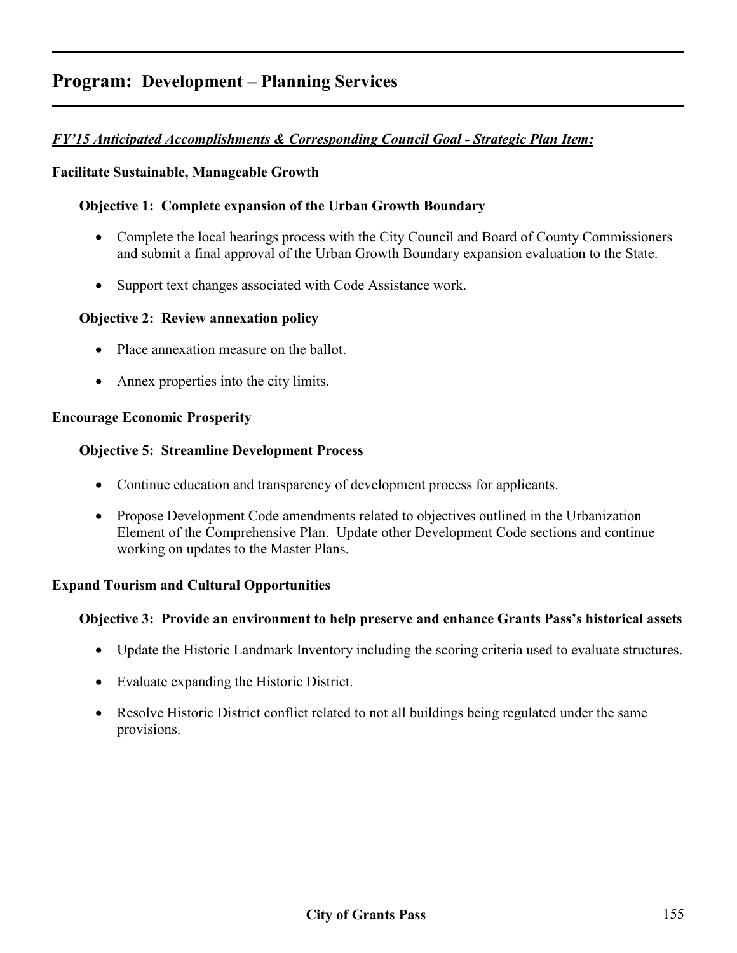#### *FY'15 Anticipated Accomplishments & Corresponding Council Goal - Strategic Plan Item:*

#### **Facilitate Sustainable, Manageable Growth**

#### **Objective 1: Complete expansion of the Urban Growth Boundary**

- Complete the local hearings process with the City Council and Board of County Commissioners and submit a final approval of the Urban Growth Boundary expansion evaluation to the State.
- Support text changes associated with Code Assistance work.

#### **Objective 2: Review annexation policy**

- Place annexation measure on the ballot.
- Annex properties into the city limits.

#### **Encourage Economic Prosperity**

#### **Objective 5: Streamline Development Process**

- Continue education and transparency of development process for applicants.
- Propose Development Code amendments related to objectives outlined in the Urbanization Element of the Comprehensive Plan. Update other Development Code sections and continue working on updates to the Master Plans.

#### **Expand Tourism and Cultural Opportunities**

#### **Objective 3: Provide an environment to help preserve and enhance Grants Pass's historical assets**

- Update the Historic Landmark Inventory including the scoring criteria used to evaluate structures.
- Evaluate expanding the Historic District.
- Resolve Historic District conflict related to not all buildings being regulated under the same provisions.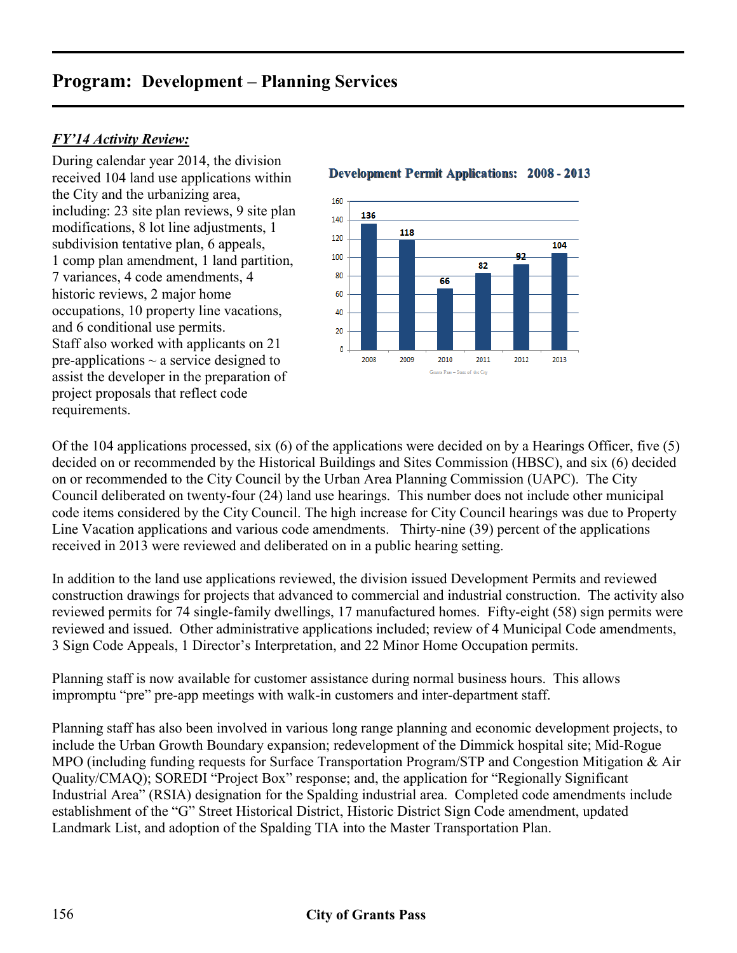#### *FY'14 Activity Review:*

During calendar year 2014, the division received 104 land use applications within the City and the urbanizing area, including: 23 site plan reviews, 9 site plan modifications, 8 lot line adjustments, 1 subdivision tentative plan, 6 appeals, 1 comp plan amendment, 1 land partition, 7 variances, 4 code amendments, 4 historic reviews, 2 major home occupations, 10 property line vacations, and 6 conditional use permits. Staff also worked with applicants on 21 pre-applications  $\sim$  a service designed to assist the developer in the preparation of project proposals that reflect code requirements.

#### **Development Permit Applications: 2008 - 2013**



Of the 104 applications processed, six (6) of the applications were decided on by a Hearings Officer, five (5) decided on or recommended by the Historical Buildings and Sites Commission (HBSC), and six (6) decided on or recommended to the City Council by the Urban Area Planning Commission (UAPC). The City Council deliberated on twenty-four (24) land use hearings. This number does not include other municipal code items considered by the City Council. The high increase for City Council hearings was due to Property Line Vacation applications and various code amendments. Thirty-nine (39) percent of the applications received in 2013 were reviewed and deliberated on in a public hearing setting.

In addition to the land use applications reviewed, the division issued Development Permits and reviewed construction drawings for projects that advanced to commercial and industrial construction. The activity also reviewed permits for 74 single-family dwellings, 17 manufactured homes. Fifty-eight (58) sign permits were reviewed and issued. Other administrative applications included; review of 4 Municipal Code amendments, 3 Sign Code Appeals, 1 Director's Interpretation, and 22 Minor Home Occupation permits.

Planning staff is now available for customer assistance during normal business hours. This allows impromptu "pre" pre-app meetings with walk-in customers and inter-department staff.

Planning staff has also been involved in various long range planning and economic development projects, to include the Urban Growth Boundary expansion; redevelopment of the Dimmick hospital site; Mid-Rogue MPO (including funding requests for Surface Transportation Program/STP and Congestion Mitigation & Air Quality/CMAQ); SOREDI "Project Box" response; and, the application for "Regionally Significant Industrial Area" (RSIA) designation for the Spalding industrial area. Completed code amendments include establishment of the "G" Street Historical District, Historic District Sign Code amendment, updated Landmark List, and adoption of the Spalding TIA into the Master Transportation Plan.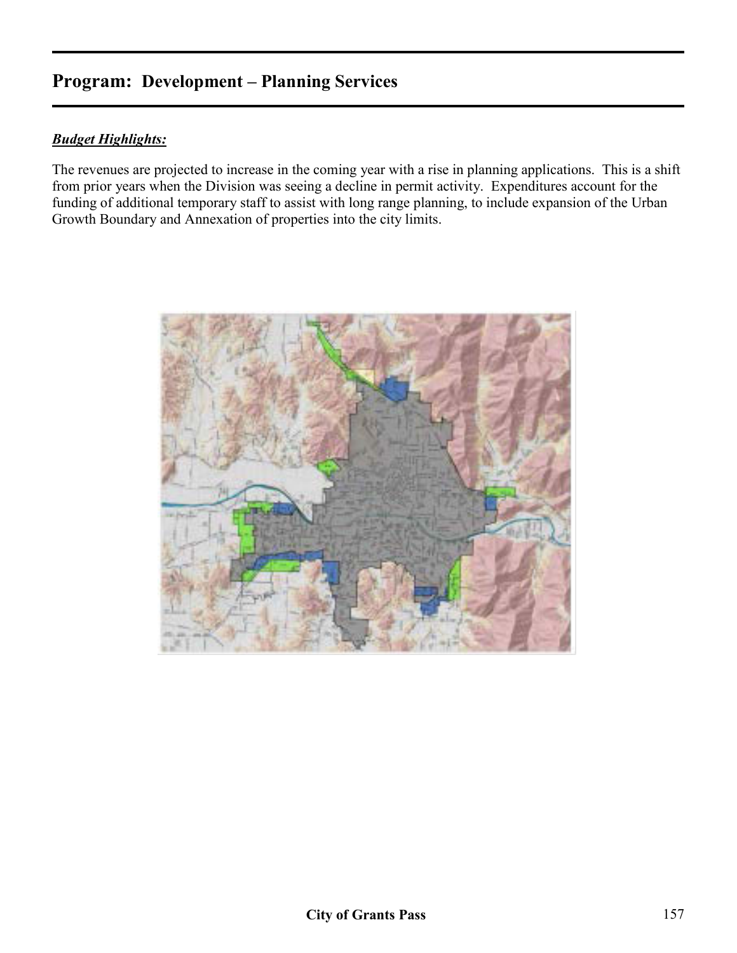#### *Budget Highlights:*

The revenues are projected to increase in the coming year with a rise in planning applications. This is a shift from prior years when the Division was seeing a decline in permit activity. Expenditures account for the funding of additional temporary staff to assist with long range planning, to include expansion of the Urban Growth Boundary and Annexation of properties into the city limits.

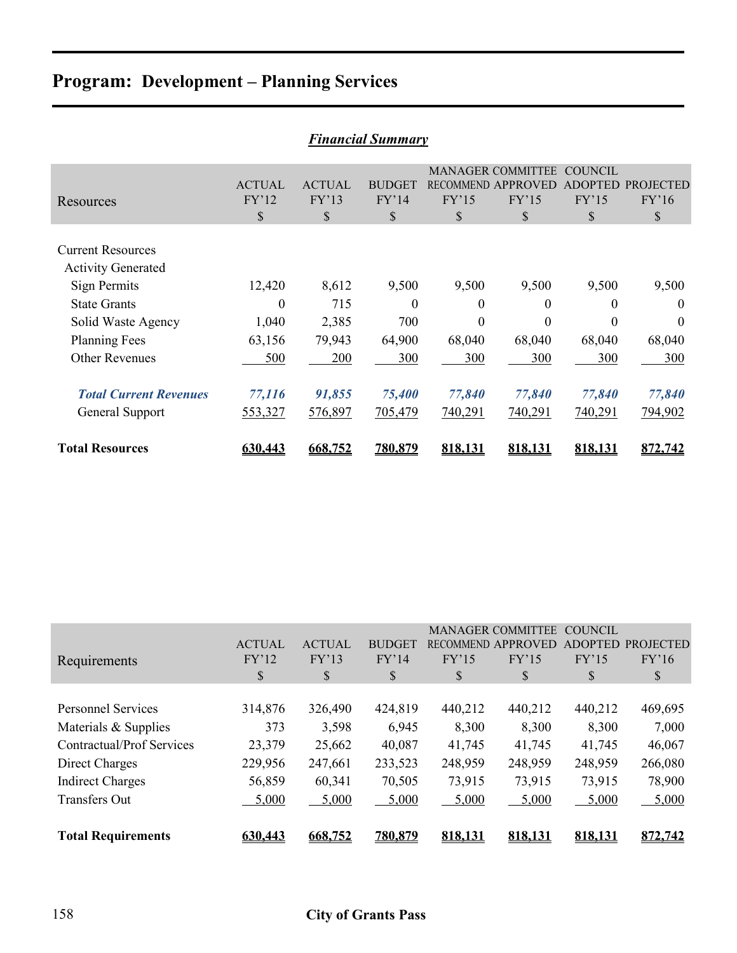| <b>Financial Summary</b>                                              |                              |                              |                                        |                       |                                                                                 |                                                 |                                 |  |  |  |  |
|-----------------------------------------------------------------------|------------------------------|------------------------------|----------------------------------------|-----------------------|---------------------------------------------------------------------------------|-------------------------------------------------|---------------------------------|--|--|--|--|
| Resources                                                             | <b>ACTUAL</b><br>FY'12<br>\$ | <b>ACTUAL</b><br>FY'13<br>\$ | <b>BUDGET</b><br>FY'14<br>$\mathbb{S}$ | FY'15<br>$\mathbb{S}$ | <b>MANAGER COMMITTEE</b><br><b>RECOMMEND APPROVED</b><br>FY'15<br>$\mathcal{S}$ | <b>COUNCIL</b><br><b>ADOPTED</b><br>FY'15<br>\$ | <b>PROJECTED</b><br>FY'16<br>\$ |  |  |  |  |
| <b>Current Resources</b><br><b>Activity Generated</b><br>Sign Permits | 12,420                       | 8,612                        | 9,500                                  | 9,500                 | 9,500                                                                           | 9,500                                           | 9,500                           |  |  |  |  |
| <b>State Grants</b>                                                   | $\Omega$                     | 715                          | $\theta$                               | $\theta$              | $\theta$                                                                        | 0                                               | $\Omega$                        |  |  |  |  |
| Solid Waste Agency<br><b>Planning Fees</b>                            | 1,040<br>63,156              | 2,385<br>79,943              | 700<br>64,900                          | $\theta$<br>68,040    | $\theta$<br>68,040                                                              | $\theta$<br>68,040                              | $\Omega$<br>68,040              |  |  |  |  |
| <b>Other Revenues</b>                                                 | 500                          | 200                          | 300                                    | 300                   | 300                                                                             | 300                                             | 300                             |  |  |  |  |
| <b>Total Current Revenues</b>                                         | 77,116                       | 91,855                       | 75,400                                 | 77,840                | 77,840                                                                          | 77,840                                          | 77,840                          |  |  |  |  |
| General Support                                                       | 553,327                      | 576,897                      | 705,479                                | 740,291               | 740,291                                                                         | 740,291                                         | 794,902                         |  |  |  |  |
| <b>Total Resources</b>                                                | 630,443                      | 668.752                      | 780.879                                | 818,131               | 818.131                                                                         | 818.131                                         | 872,742                         |  |  |  |  |

|                                  |               |               |               |         | <b>MANAGER COMMITTEE</b> | <b>COUNCIL</b> |                  |
|----------------------------------|---------------|---------------|---------------|---------|--------------------------|----------------|------------------|
|                                  | <b>ACTUAL</b> | <b>ACTUAL</b> | <b>BUDGET</b> |         | RECOMMEND APPROVED       | <b>ADOPTED</b> | <b>PROJECTED</b> |
| Requirements                     | FY'12         | FY'13         | FY'14         | FY'15   | FY'15                    | FY'15          | FY'16            |
|                                  | \$            | \$            | \$            | \$      | \$                       | \$             | \$               |
|                                  |               |               |               |         |                          |                |                  |
| <b>Personnel Services</b>        | 314,876       | 326,490       | 424,819       | 440,212 | 440,212                  | 440,212        | 469,695          |
| Materials & Supplies             | 373           | 3,598         | 6,945         | 8,300   | 8,300                    | 8,300          | 7,000            |
| <b>Contractual/Prof Services</b> | 23,379        | 25,662        | 40,087        | 41,745  | 41,745                   | 41,745         | 46,067           |
| Direct Charges                   | 229,956       | 247,661       | 233,523       | 248,959 | 248,959                  | 248,959        | 266,080          |
| <b>Indirect Charges</b>          | 56,859        | 60,341        | 70,505        | 73,915  | 73,915                   | 73,915         | 78,900           |
| <b>Transfers Out</b>             | 5,000         | 5,000         | 5,000         | 5,000   | 5,000                    | 5,000          | 5,000            |
|                                  |               |               |               |         |                          |                |                  |
| <b>Total Requirements</b>        | 630.443       | 668.752       | 780,879       | 818.131 | 818.131                  | 818,131        | 872,742          |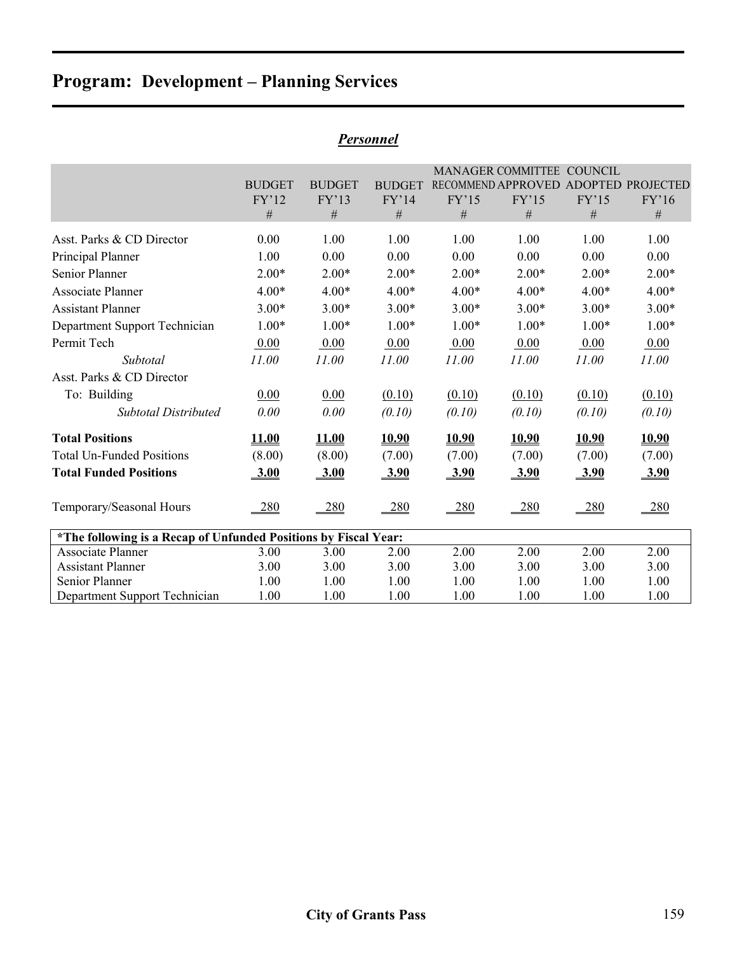|                                                                 |               |               |               |              | MANAGER COMMITTEE COUNCIL |              |                                      |
|-----------------------------------------------------------------|---------------|---------------|---------------|--------------|---------------------------|--------------|--------------------------------------|
|                                                                 | <b>BUDGET</b> | <b>BUDGET</b> | <b>BUDGET</b> |              |                           |              | RECOMMEND APPROVED ADOPTED PROJECTED |
|                                                                 | FY'12         | FY'13         | FY'14         | FY'15        | FY'15                     | FY'15        | FY'16                                |
|                                                                 | $\#$          | #             | #             | #            | #                         | #            | #                                    |
| Asst. Parks & CD Director                                       | 0.00          | 1.00          | 1.00          | 1.00         | 1.00                      | 1.00         | 1.00                                 |
| Principal Planner                                               | 1.00          | 0.00          | 0.00          | 0.00         | 0.00                      | 0.00         | 0.00                                 |
| Senior Planner                                                  | $2.00*$       | $2.00*$       | $2.00*$       | $2.00*$      | $2.00*$                   | $2.00*$      | $2.00*$                              |
| <b>Associate Planner</b>                                        | $4.00*$       | $4.00*$       | $4.00*$       | $4.00*$      | $4.00*$                   | $4.00*$      | $4.00*$                              |
| <b>Assistant Planner</b>                                        | $3.00*$       | $3.00*$       | $3.00*$       | $3.00*$      | $3.00*$                   | $3.00*$      | $3.00*$                              |
| Department Support Technician                                   | $1.00*$       | $1.00*$       | $1.00*$       | $1.00*$      | $1.00*$                   | $1.00*$      | $1.00*$                              |
| Permit Tech                                                     | 0.00          | 0.00          | 0.00          | 0.00         | 0.00                      | 0.00         | 0.00                                 |
| Subtotal                                                        | 11.00         | 11.00         | 11.00         | 11.00        | 11.00                     | 11.00        | 11.00                                |
| Asst. Parks & CD Director                                       |               |               |               |              |                           |              |                                      |
| To: Building                                                    | 0.00          | 0.00          | (0.10)        | (0.10)       | (0.10)                    | (0.10)       | (0.10)                               |
| <b>Subtotal Distributed</b>                                     | 0.00          | 0.00          | (0.10)        | (0.10)       | (0.10)                    | (0.10)       | (0.10)                               |
| <b>Total Positions</b>                                          | <b>11.00</b>  | <b>11.00</b>  | <b>10.90</b>  | <b>10.90</b> | <b>10.90</b>              | <b>10.90</b> | <b>10.90</b>                         |
| <b>Total Un-Funded Positions</b>                                | (8.00)        | (8.00)        | (7.00)        | (7.00)       | (7.00)                    | (7.00)       | (7.00)                               |
| <b>Total Funded Positions</b>                                   | 3.00          | 3.00          | 3.90          | <u>3.90</u>  | <u>3.90</u>               | <u>3.90</u>  | 3.90                                 |
| Temporary/Seasonal Hours                                        | 280           | 280           | <u>280</u>    | <u>280</u>   | 280                       | 280          | <u>280</u>                           |
| *The following is a Recap of Unfunded Positions by Fiscal Year: |               |               |               |              |                           |              |                                      |
| <b>Associate Planner</b>                                        | 3.00          | 3.00          | 2.00          | 2.00         | 2.00                      | 2.00         | 2.00                                 |
| <b>Assistant Planner</b>                                        | 3.00          | 3.00          | 3.00          | 3.00         | 3.00                      | 3.00         | 3.00                                 |
| Senior Planner                                                  | 1.00          | 1.00          | 1.00          | 1.00         | 1.00                      | 1.00         | 1.00                                 |
| Department Support Technician                                   | 1.00          | 1.00          | 1.00          | 1.00         | 1.00                      | 1.00         | 1.00                                 |

## *Personnel*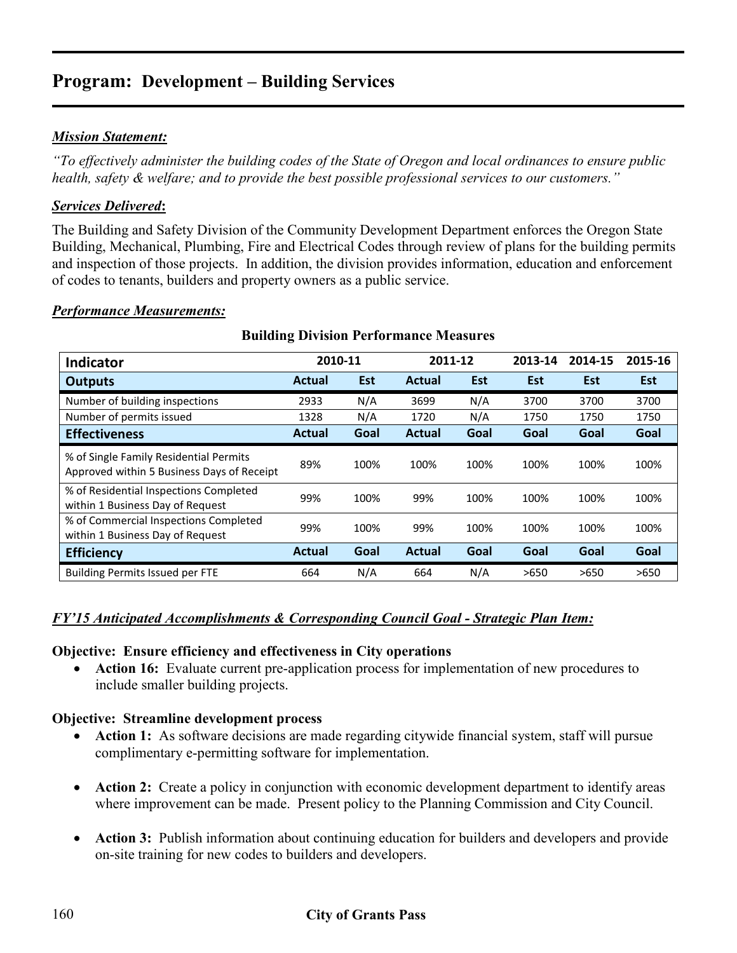#### *Mission Statement:*

*"To effectively administer the building codes of the State of Oregon and local ordinances to ensure public health, safety & welfare; and to provide the best possible professional services to our customers."* 

#### *Services Delivered***:**

The Building and Safety Division of the Community Development Department enforces the Oregon State Building, Mechanical, Plumbing, Fire and Electrical Codes through review of plans for the building permits and inspection of those projects. In addition, the division provides information, education and enforcement of codes to tenants, builders and property owners as a public service.

#### *Performance Measurements:*

| <b>Indicator</b>                                                                     | 2010-11       |      | 2011-12       |            | 2013-14 | 2014-15    | 2015-16 |
|--------------------------------------------------------------------------------------|---------------|------|---------------|------------|---------|------------|---------|
| <b>Outputs</b>                                                                       | <b>Actual</b> | Est  | <b>Actual</b> | <b>Est</b> | Est     | <b>Est</b> | Est     |
| Number of building inspections                                                       | 2933          | N/A  | 3699          | N/A        | 3700    | 3700       | 3700    |
| Number of permits issued                                                             | 1328          | N/A  | 1720          | N/A        | 1750    | 1750       | 1750    |
| <b>Effectiveness</b>                                                                 | Actual        | Goal | <b>Actual</b> | Goal       | Goal    | Goal       | Goal    |
| % of Single Family Residential Permits<br>Approved within 5 Business Days of Receipt | 89%           | 100% | 100%          | 100%       | 100%    | 100%       | 100%    |
| % of Residential Inspections Completed<br>within 1 Business Day of Request           | 99%           | 100% | 99%           | 100%       | 100%    | 100%       | 100%    |
| % of Commercial Inspections Completed<br>within 1 Business Day of Request            | 99%           | 100% | 99%           | 100%       | 100%    | 100%       | 100%    |
| <b>Efficiency</b>                                                                    | <b>Actual</b> | Goal | <b>Actual</b> | Goal       | Goal    | Goal       | Goal    |
| <b>Building Permits Issued per FTE</b>                                               | 664           | N/A  | 664           | N/A        | >650    | >650       | >650    |

#### **Building Division Performance Measures**

#### *FY'15 Anticipated Accomplishments & Corresponding Council Goal - Strategic Plan Item:*

#### **Objective: Ensure efficiency and effectiveness in City operations**

• **Action 16:** Evaluate current pre-application process for implementation of new procedures to include smaller building projects.

#### **Objective: Streamline development process**

- **Action 1:** As software decisions are made regarding citywide financial system, staff will pursue complimentary e-permitting software for implementation.
- **Action 2:** Create a policy in conjunction with economic development department to identify areas where improvement can be made. Present policy to the Planning Commission and City Council.
- **Action 3:** Publish information about continuing education for builders and developers and provide on-site training for new codes to builders and developers.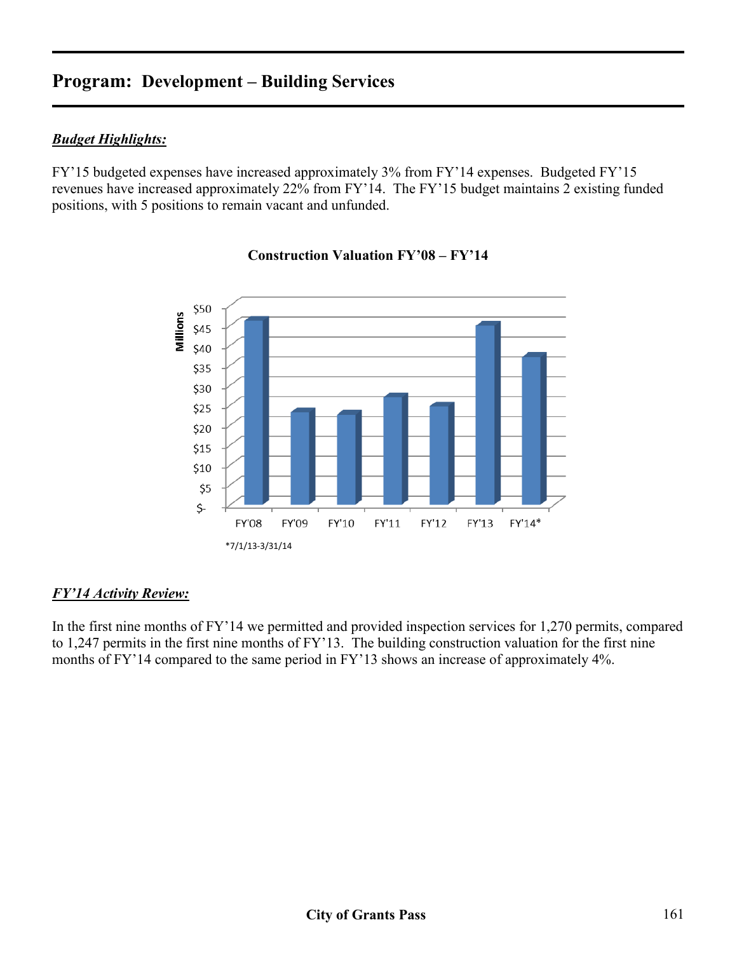#### *Budget Highlights:*

FY'15 budgeted expenses have increased approximately 3% from FY'14 expenses. Budgeted FY'15 revenues have increased approximately 22% from FY'14. The FY'15 budget maintains 2 existing funded positions, with 5 positions to remain vacant and unfunded.



#### **Construction Valuation FY'08 – FY'14**

#### *FY'14 Activity Review:*

In the first nine months of FY'14 we permitted and provided inspection services for 1,270 permits, compared to 1,247 permits in the first nine months of FY'13. The building construction valuation for the first nine months of FY'14 compared to the same period in FY'13 shows an increase of approximately 4%.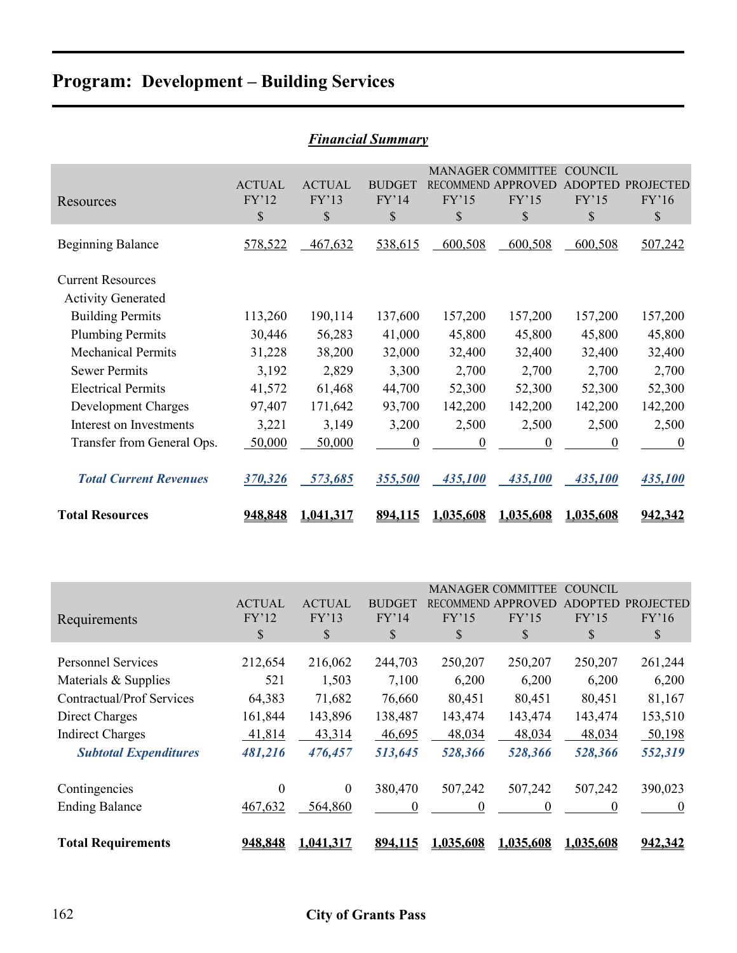|                                                       |                              |                              | <b>Financial Summary</b>               |                  |                                                               |                                                 |                                 |
|-------------------------------------------------------|------------------------------|------------------------------|----------------------------------------|------------------|---------------------------------------------------------------|-------------------------------------------------|---------------------------------|
| Resources                                             | <b>ACTUAL</b><br>FY'12<br>\$ | <b>ACTUAL</b><br>FY'13<br>\$ | <b>BUDGET</b><br>FY'14<br>$\mathbb{S}$ | FY'15<br>\$      | <b>MANAGER COMMITTEE</b><br>RECOMMEND APPROVED<br>FY'15<br>\$ | <b>COUNCIL</b><br><b>ADOPTED</b><br>FY'15<br>\$ | <b>PROJECTED</b><br>FY'16<br>\$ |
| <b>Beginning Balance</b>                              | 578,522                      | 467,632                      | 538,615                                | 600,508          | 600,508                                                       | 600,508                                         | 507,242                         |
| <b>Current Resources</b><br><b>Activity Generated</b> |                              |                              |                                        |                  |                                                               |                                                 |                                 |
| <b>Building Permits</b>                               | 113,260                      | 190,114                      | 137,600                                | 157,200          | 157,200                                                       | 157,200                                         | 157,200                         |
| <b>Plumbing Permits</b>                               | 30,446                       | 56,283                       | 41,000                                 | 45,800           | 45,800                                                        | 45,800                                          | 45,800                          |
| <b>Mechanical Permits</b>                             | 31,228                       | 38,200                       | 32,000                                 | 32,400           | 32,400                                                        | 32,400                                          | 32,400                          |
| <b>Sewer Permits</b>                                  | 3,192                        | 2,829                        | 3,300                                  | 2,700            | 2,700                                                         | 2,700                                           | 2,700                           |
| <b>Electrical Permits</b>                             | 41,572                       | 61,468                       | 44,700                                 | 52,300           | 52,300                                                        | 52,300                                          | 52,300                          |
| Development Charges                                   | 97,407                       | 171,642                      | 93,700                                 | 142,200          | 142,200                                                       | 142,200                                         | 142,200                         |
| Interest on Investments                               | 3,221                        | 3,149                        | 3,200                                  | 2,500            | 2,500                                                         | 2,500                                           | 2,500                           |
| Transfer from General Ops.                            | 50,000                       | 50,000                       | $\boldsymbol{0}$                       | $\boldsymbol{0}$ | $\boldsymbol{0}$                                              | $\overline{0}$                                  | $\boldsymbol{0}$                |
| <b>Total Current Revenues</b>                         | 370,326                      | 573,685                      | 355,500                                | 435,100          | 435,100                                                       | 435,100                                         | 435,100                         |
| <b>Total Resources</b>                                | 948,848                      | 1,041,317                    | 894,115                                | 1,035,608        | 1,035,608                                                     | 1,035,608                                       | 942,342                         |
|                                                       |                              |                              |                                        |                  |                                                               |                                                 |                                 |

|                                  |               |               |               |           | <b>MANAGER COMMITTEE</b>  | COUNCIL        |                  |
|----------------------------------|---------------|---------------|---------------|-----------|---------------------------|----------------|------------------|
|                                  | <b>ACTUAL</b> | <b>ACTUAL</b> | <b>BUDGET</b> |           | <b>RECOMMEND APPROVED</b> | <b>ADOPTED</b> | <b>PROJECTED</b> |
| Requirements                     | FY'12         | FY'13         | FY'14         | FY'15     | FY'15                     | FY'15          | FY'16            |
|                                  | \$            | \$.           | \$            | \$        | \$                        | \$             | \$               |
| <b>Personnel Services</b>        |               |               |               |           |                           |                |                  |
|                                  | 212,654       | 216,062       | 244,703       | 250,207   | 250,207                   | 250,207        | 261,244          |
| Materials & Supplies             | 521           | 1,503         | 7,100         | 6,200     | 6,200                     | 6,200          | 6,200            |
| <b>Contractual/Prof Services</b> | 64,383        | 71,682        | 76,660        | 80,451    | 80,451                    | 80,451         | 81,167           |
| Direct Charges                   | 161,844       | 143,896       | 138,487       | 143,474   | 143,474                   | 143,474        | 153,510          |
| <b>Indirect Charges</b>          | 41,814        | 43,314        | 46,695        | 48,034    | 48,034                    | 48,034         | 50,198           |
| <b>Subtotal Expenditures</b>     | 481,216       | 476,457       | 513,645       | 528,366   | 528,366                   | 528,366        | 552,319          |
| Contingencies                    | $\theta$      | $\mathbf{0}$  | 380,470       | 507,242   | 507,242                   | 507,242        | 390,023          |
| <b>Ending Balance</b>            | 467,632       | 564,860       | $\theta$      | 0         | $\theta$                  |                | $\theta$         |
|                                  |               |               |               |           |                           |                |                  |
| <b>Total Requirements</b>        | 948,848       | 1,041,317     | 894,115       | 1,035,608 | 1,035,608                 | 1,035,608      | 942,342          |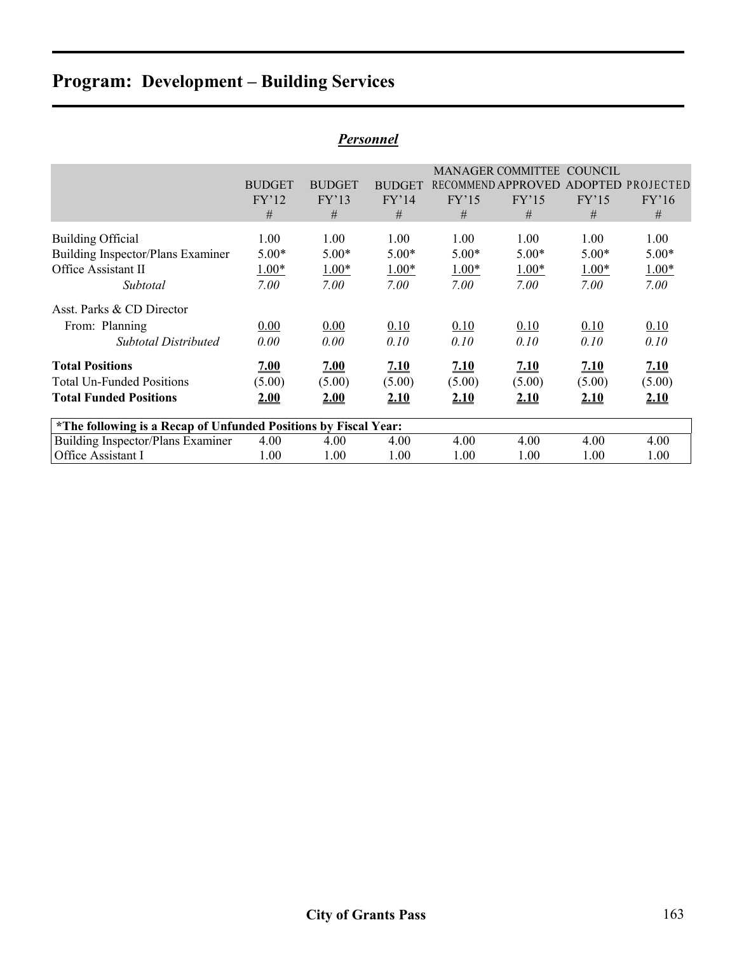|                                                                 |               |               | 1 ersviillel  |             |                          |                |                   |
|-----------------------------------------------------------------|---------------|---------------|---------------|-------------|--------------------------|----------------|-------------------|
|                                                                 |               |               |               |             | <b>MANAGER COMMITTEE</b> | <b>COUNCIL</b> |                   |
|                                                                 | <b>BUDGET</b> | <b>BUDGET</b> | <b>BUDGET</b> |             | RECOMMEND APPROVED       |                | ADOPTED PROJECTED |
|                                                                 | FY'12         | FY'13         | FY'14         | FY'15       | FY'15                    | FY'15          | FY'16             |
|                                                                 | #             | #             | #             | #           | #                        | #              | #                 |
| <b>Building Official</b>                                        | 1.00          | 1.00          | 1.00          | 1.00        | 1.00                     | 1.00           | 1.00              |
| <b>Building Inspector/Plans Examiner</b>                        | $5.00*$       | $5.00*$       | $5.00*$       | $5.00*$     | $5.00*$                  | $5.00*$        | $5.00*$           |
| Office Assistant II                                             | $1.00*$       | $1.00*$       | $1.00*$       | $1.00*$     | $1.00*$                  | $1.00*$        | $1.00*$           |
| Subtotal                                                        | 7.00          | 7.00          | 7.00          | 7.00        | 7.00                     | 7.00           | 7.00              |
| Asst. Parks & CD Director                                       |               |               |               |             |                          |                |                   |
| From: Planning                                                  | 0.00          | 0.00          | 0.10          | 0.10        | 0.10                     | 0.10           | 0.10              |
| <b>Subtotal Distributed</b>                                     | 0.00          | 0.00          | 0.10          | 0.10        | 0.10                     | 0.10           | 0.10              |
| <b>Total Positions</b>                                          | 7.00          | 2.00          | 2.10          | <u>7.10</u> | 2.10                     | <u>7.10</u>    | 7.10              |
| <b>Total Un-Funded Positions</b>                                | (5.00)        | (5.00)        | (5.00)        | (5.00)      | (5.00)                   | (5.00)         | (5.00)            |
| <b>Total Funded Positions</b>                                   | 2.00          | 2.00          | 2.10          | 2.10        | 2.10                     | 2.10           | 2.10              |
| *The following is a Recap of Unfunded Positions by Fiscal Year: |               |               |               |             |                          |                |                   |
| Building Inspector/Plans Examiner                               | 4.00          | 4.00          | 4.00          | 4.00        | 4.00                     | 4.00           | 4.00              |
| Office Assistant I                                              | 1.00          | 1.00          | 1.00          | 1.00        | 1.00                     | 1.00           | 1.00              |

### *Personnel*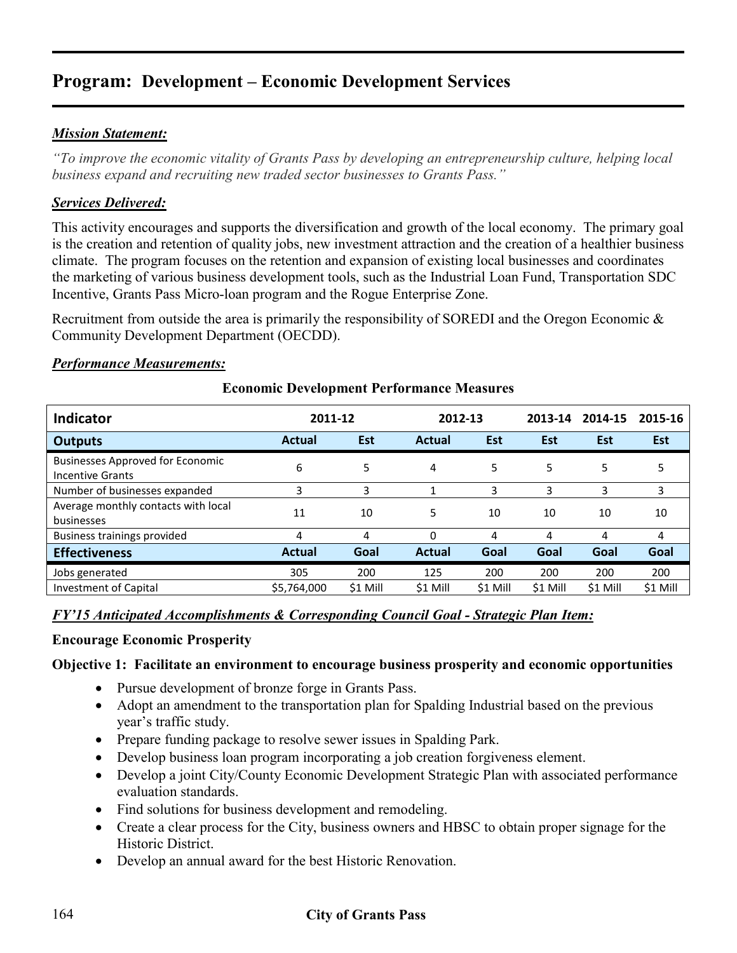#### *Mission Statement:*

*"To improve the economic vitality of Grants Pass by developing an entrepreneurship culture, helping local business expand and recruiting new traded sector businesses to Grants Pass."* 

#### *Services Delivered:*

This activity encourages and supports the diversification and growth of the local economy. The primary goal is the creation and retention of quality jobs, new investment attraction and the creation of a healthier business climate. The program focuses on the retention and expansion of existing local businesses and coordinates the marketing of various business development tools, such as the Industrial Loan Fund, Transportation SDC Incentive, Grants Pass Micro-loan program and the Rogue Enterprise Zone.

Recruitment from outside the area is primarily the responsibility of SOREDI and the Oregon Economic & Community Development Department (OECDD).

#### *Performance Measurements:*

| <b>Indicator</b>                                            | 2011-12       |          | 2012-13       |            | 2013-14  | 2014-15  | 2015-16  |
|-------------------------------------------------------------|---------------|----------|---------------|------------|----------|----------|----------|
| <b>Outputs</b>                                              | Actual        | Est      | <b>Actual</b> | <b>Est</b> | Est      | Est      | Est      |
| <b>Businesses Approved for Economic</b><br>Incentive Grants | 6             | 5        | 4             | 5          | 5        | 5        | 5        |
| Number of businesses expanded                               | 3             | 3        |               | 3          | 3        | 3        | 3        |
| Average monthly contacts with local<br>businesses           | 11            | 10       | 5.            | 10         | 10       | 10       | 10       |
| Business trainings provided                                 | 4             | 4        | $\Omega$      | 4          | 4        | 4        | 4        |
| <b>Effectiveness</b>                                        | <b>Actual</b> | Goal     | <b>Actual</b> | Goal       | Goal     | Goal     | Goal     |
| Jobs generated                                              | 305           | 200      | 125           | 200        | 200      | 200      | 200      |
| Investment of Capital                                       | \$5,764,000   | \$1 Mill | \$1 Mill      | \$1 Mill   | \$1 Mill | \$1 Mill | \$1 Mill |

#### **Economic Development Performance Measures**

#### *FY'15 Anticipated Accomplishments & Corresponding Council Goal - Strategic Plan Item:*

#### **Encourage Economic Prosperity**

#### **Objective 1: Facilitate an environment to encourage business prosperity and economic opportunities**

- Pursue development of bronze forge in Grants Pass.
- Adopt an amendment to the transportation plan for Spalding Industrial based on the previous year's traffic study.
- Prepare funding package to resolve sewer issues in Spalding Park.
- Develop business loan program incorporating a job creation forgiveness element.
- Develop a joint City/County Economic Development Strategic Plan with associated performance evaluation standards.
- Find solutions for business development and remodeling.
- Create a clear process for the City, business owners and HBSC to obtain proper signage for the Historic District.
- Develop an annual award for the best Historic Renovation.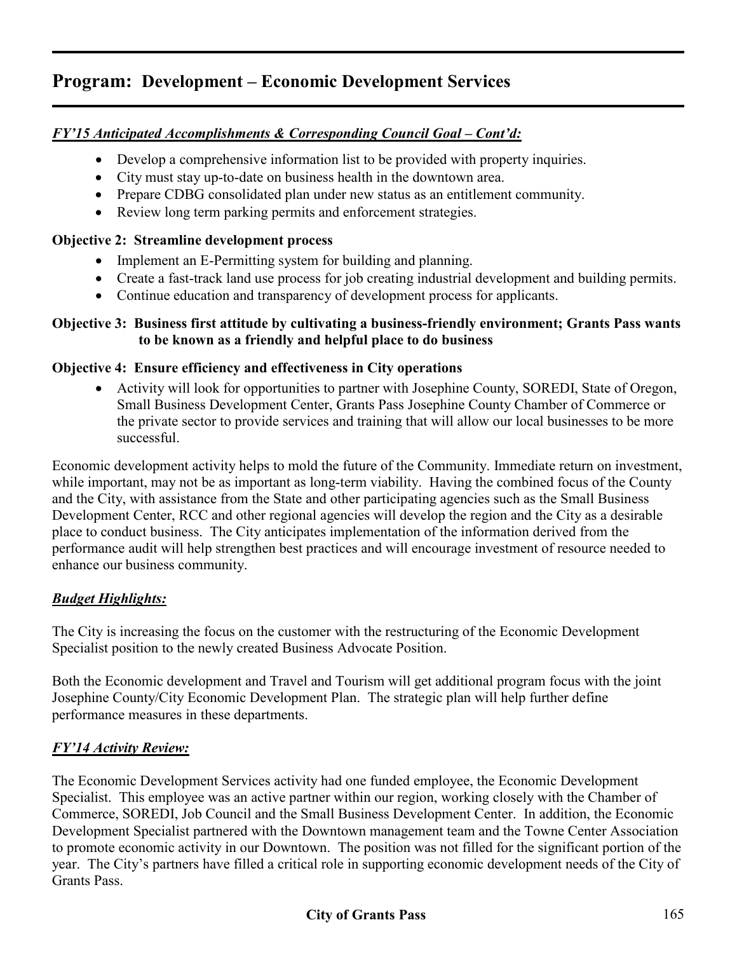#### *FY'15 Anticipated Accomplishments & Corresponding Council Goal – Cont'd:*

- Develop a comprehensive information list to be provided with property inquiries.
- City must stay up-to-date on business health in the downtown area.
- Prepare CDBG consolidated plan under new status as an entitlement community.
- Review long term parking permits and enforcement strategies.

#### **Objective 2: Streamline development process**

- Implement an E-Permitting system for building and planning.
- Create a fast-track land use process for job creating industrial development and building permits.
- Continue education and transparency of development process for applicants.

#### **Objective 3: Business first attitude by cultivating a business-friendly environment; Grants Pass wants to be known as a friendly and helpful place to do business**

#### **Objective 4: Ensure efficiency and effectiveness in City operations**

• Activity will look for opportunities to partner with Josephine County, SOREDI, State of Oregon, Small Business Development Center, Grants Pass Josephine County Chamber of Commerce or the private sector to provide services and training that will allow our local businesses to be more successful.

Economic development activity helps to mold the future of the Community. Immediate return on investment, while important, may not be as important as long-term viability. Having the combined focus of the County and the City, with assistance from the State and other participating agencies such as the Small Business Development Center, RCC and other regional agencies will develop the region and the City as a desirable place to conduct business. The City anticipates implementation of the information derived from the performance audit will help strengthen best practices and will encourage investment of resource needed to enhance our business community.

#### *Budget Highlights:*

The City is increasing the focus on the customer with the restructuring of the Economic Development Specialist position to the newly created Business Advocate Position.

Both the Economic development and Travel and Tourism will get additional program focus with the joint Josephine County/City Economic Development Plan. The strategic plan will help further define performance measures in these departments.

#### *FY'14 Activity Review:*

The Economic Development Services activity had one funded employee, the Economic Development Specialist. This employee was an active partner within our region, working closely with the Chamber of Commerce, SOREDI, Job Council and the Small Business Development Center. In addition, the Economic Development Specialist partnered with the Downtown management team and the Towne Center Association to promote economic activity in our Downtown. The position was not filled for the significant portion of the year. The City's partners have filled a critical role in supporting economic development needs of the City of Grants Pass.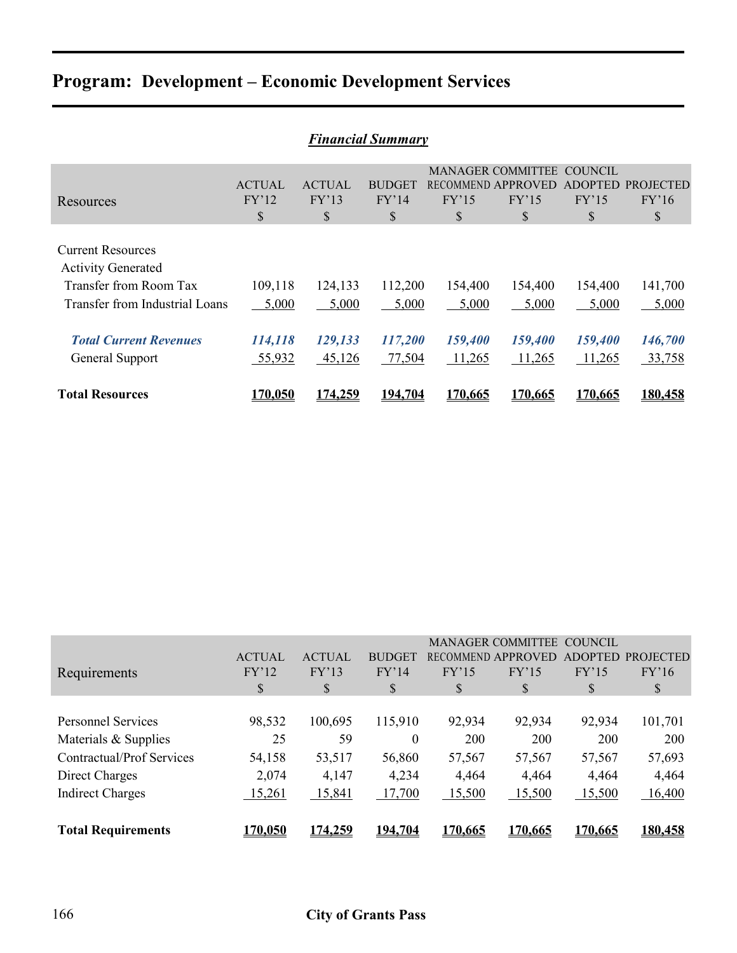|                                                                                                                          | <b>Financial Summary</b>     |                              |                              |                              |                                                                      |                                                 |                                 |  |  |  |  |  |
|--------------------------------------------------------------------------------------------------------------------------|------------------------------|------------------------------|------------------------------|------------------------------|----------------------------------------------------------------------|-------------------------------------------------|---------------------------------|--|--|--|--|--|
| Resources                                                                                                                | <b>ACTUAL</b><br>FY'12<br>\$ | <b>ACTUAL</b><br>FY'13<br>\$ | <b>BUDGET</b><br>FY'14<br>\$ | FY'15<br>S                   | <b>MANAGER COMMITTEE</b><br><b>RECOMMEND APPROVED</b><br>FY'15<br>\$ | <b>COUNCIL</b><br><b>ADOPTED</b><br>FY'15<br>\$ | <b>PROJECTED</b><br>FY'16<br>\$ |  |  |  |  |  |
| <b>Current Resources</b><br><b>Activity Generated</b><br><b>Transfer from Room Tax</b><br>Transfer from Industrial Loans | 109,118<br>5,000             | 124,133<br>5,000             | 112,200<br>5,000             | 154,400<br>5,000             | 154,400<br>5,000                                                     | 154,400<br>5,000                                | 141,700<br>5,000                |  |  |  |  |  |
| <b>Total Current Revenues</b><br>General Support<br><b>Total Resources</b>                                               | 114,118<br>55,932<br>170.050 | 129,133<br>45,126<br>174.259 | 117,200<br>77,504<br>194.704 | 159,400<br>11,265<br>170.665 | 159,400<br>11,265<br>170.665                                         | 159,400<br>11,265<br>170.665                    | 146,700<br>33,758<br>180,458    |  |  |  |  |  |

|                                  |               |                |                |         | <b>MANAGER COMMITTEE</b> | COUNCIL        |                  |
|----------------------------------|---------------|----------------|----------------|---------|--------------------------|----------------|------------------|
|                                  | <b>ACTUAL</b> | <b>ACTUAL</b>  | <b>BUDGET</b>  |         | RECOMMEND APPROVED       | <b>ADOPTED</b> | <b>PROJECTED</b> |
| Requirements                     | FY'12         | FY'13          | FY'14          | FY'15   | FY'15                    | FY'15          | FY'16            |
|                                  | S             | S              | S              | \$      | \$                       | \$             | \$               |
|                                  |               |                |                |         |                          |                |                  |
| <b>Personnel Services</b>        | 98,532        | 100,695        | 115,910        | 92,934  | 92,934                   | 92,934         | 101,701          |
| Materials & Supplies             | 25            | 59             | $\theta$       | 200     | 200                      | 200            | 200              |
| <b>Contractual/Prof Services</b> | 54,158        | 53,517         | 56,860         | 57,567  | 57,567                   | 57,567         | 57,693           |
| Direct Charges                   | 2,074         | 4,147          | 4,234          | 4,464   | 4,464                    | 4,464          | 4,464            |
| <b>Indirect Charges</b>          | 15,261        | 15,841         | 17,700         | 15,500  | 15,500                   | 15,500         | 16,400           |
|                                  |               |                |                |         |                          |                |                  |
| <b>Total Requirements</b>        | 170.050       | <u>174.259</u> | <u>194.704</u> | 170,665 | 170.665                  | 170.665        | 180,458          |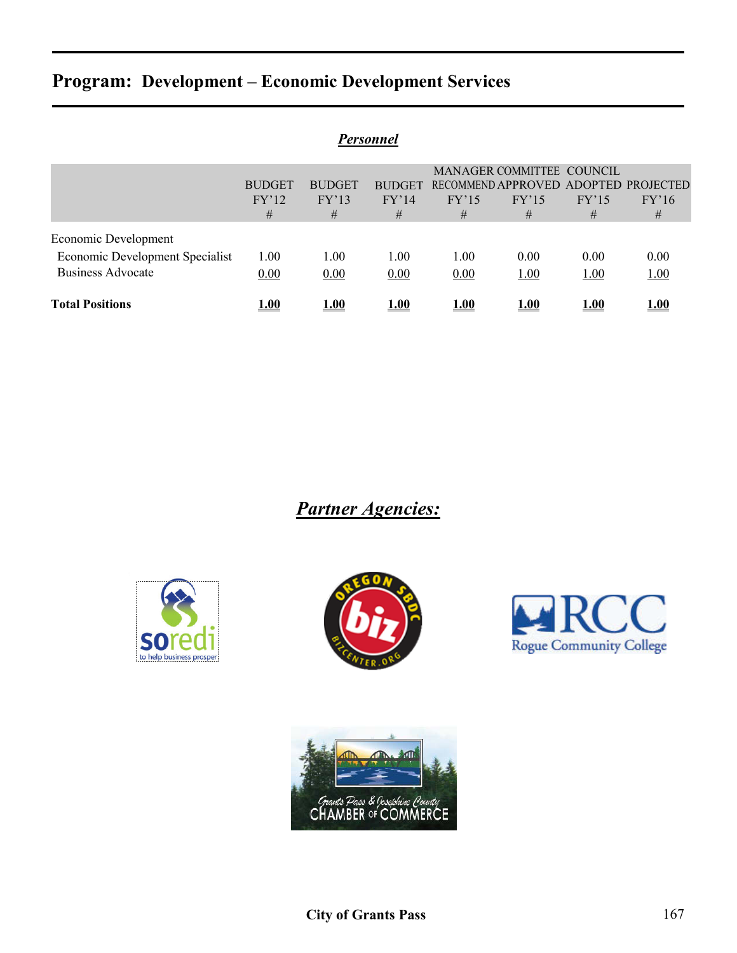| Personnel                       |               |               |               |             |                           |       |                                      |  |
|---------------------------------|---------------|---------------|---------------|-------------|---------------------------|-------|--------------------------------------|--|
|                                 |               |               |               |             | MANAGER COMMITTEE COUNCIL |       |                                      |  |
|                                 | <b>BUDGET</b> | <b>BUDGET</b> | <b>BUDGET</b> |             |                           |       | RECOMMEND APPROVED ADOPTED PROJECTED |  |
|                                 | FY'12         | FY'13         | FY'14         | FY'15       | FY'15                     | FY'15 | FY'16                                |  |
|                                 | #             | #             | #             | #           | #                         | #     | #                                    |  |
| Economic Development            |               |               |               |             |                           |       |                                      |  |
| Economic Development Specialist | 1.00          | 1.00          | 1.00          | 1.00        | 0.00                      | 0.00  | 0.00                                 |  |
| <b>Business Advocate</b>        | 0.00          | 0.00          | 0.00          | 0.00        | 1.00                      | 1.00  | 1.00                                 |  |
| <b>Total Positions</b>          | 1.00          | 1.00          | 1.00          | <b>1.00</b> | 1.00                      | 1.00  | 1.00                                 |  |

*Partner Agencies:*







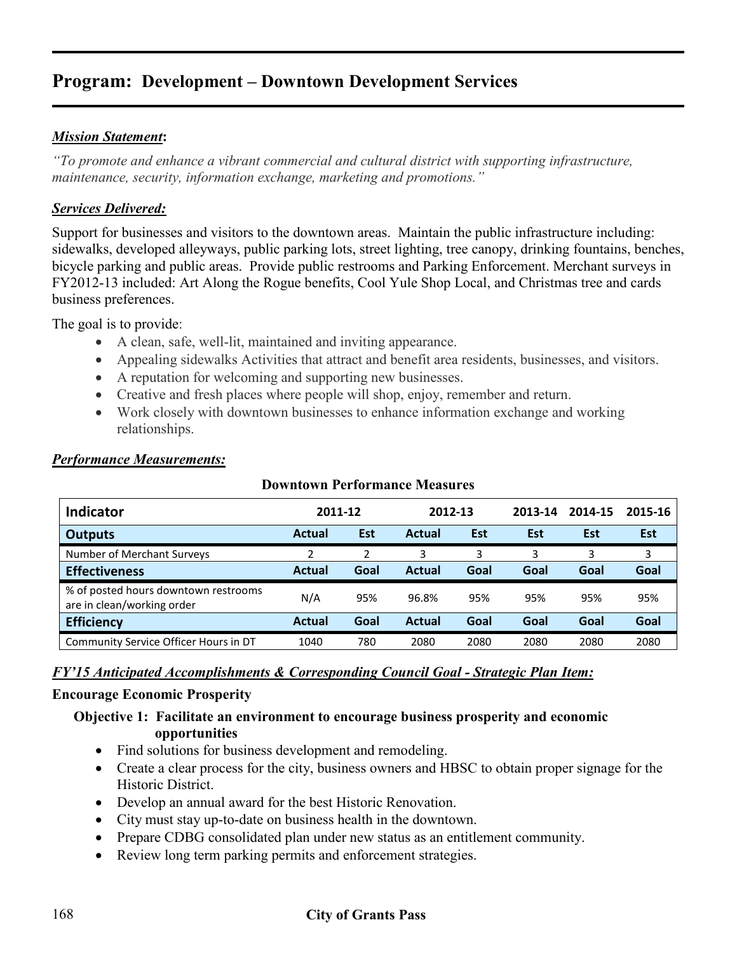#### *Mission Statement***:**

*"To promote and enhance a vibrant commercial and cultural district with supporting infrastructure, maintenance, security, information exchange, marketing and promotions."* 

#### *Services Delivered:*

Support for businesses and visitors to the downtown areas. Maintain the public infrastructure including: sidewalks, developed alleyways, public parking lots, street lighting, tree canopy, drinking fountains, benches, bicycle parking and public areas. Provide public restrooms and Parking Enforcement. Merchant surveys in FY2012-13 included: Art Along the Rogue benefits, Cool Yule Shop Local, and Christmas tree and cards business preferences.

The goal is to provide:

- A clean, safe, well-lit, maintained and inviting appearance.
- Appealing sidewalks Activities that attract and benefit area residents, businesses, and visitors.
- A reputation for welcoming and supporting new businesses.
- Creative and fresh places where people will shop, enjoy, remember and return.
- Work closely with downtown businesses to enhance information exchange and working relationships.

| <b>Indicator</b>                                                   | 2011-12       |      | 2012-13       |      | 2013-14 | 2014-15 | 2015-16    |
|--------------------------------------------------------------------|---------------|------|---------------|------|---------|---------|------------|
| <b>Outputs</b>                                                     | Actual        | Est  | <b>Actual</b> | Est  | Est     | Est     | <b>Est</b> |
| Number of Merchant Surveys                                         |               | 2    | 3             | 3    | 3       | 3       | 3          |
| <b>Effectiveness</b>                                               | <b>Actual</b> | Goal | <b>Actual</b> | Goal | Goal    | Goal    | Goal       |
| % of posted hours downtown restrooms<br>are in clean/working order | N/A           | 95%  | 96.8%         | 95%  | 95%     | 95%     | 95%        |
| <b>Efficiency</b>                                                  | <b>Actual</b> | Goal | <b>Actual</b> | Goal | Goal    | Goal    | Goal       |
| Community Service Officer Hours in DT                              | 1040          | 780  | 2080          | 2080 | 2080    | 2080    | 2080       |

**Downtown Performance Measures**

#### *Performance Measurements:*

#### *FY'15 Anticipated Accomplishments & Corresponding Council Goal - Strategic Plan Item:*

#### **Encourage Economic Prosperity**

#### **Objective 1: Facilitate an environment to encourage business prosperity and economic opportunities**

- Find solutions for business development and remodeling.
- Create a clear process for the city, business owners and HBSC to obtain proper signage for the Historic District.
- Develop an annual award for the best Historic Renovation.
- City must stay up-to-date on business health in the downtown.
- Prepare CDBG consolidated plan under new status as an entitlement community.
- Review long term parking permits and enforcement strategies.

#### 168 **City of Grants Pass**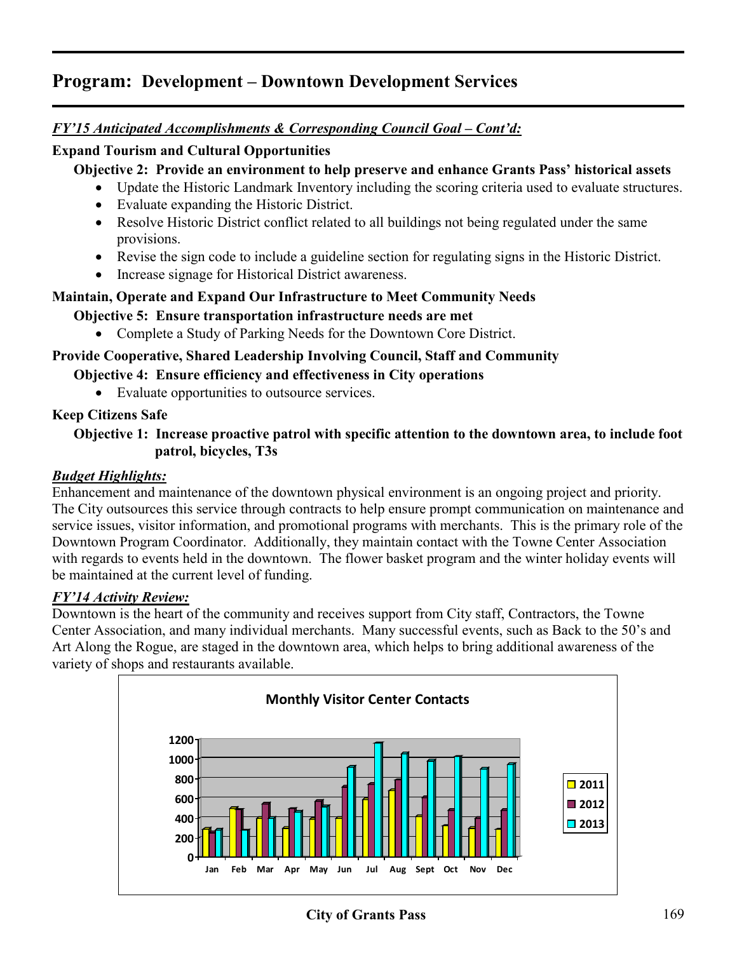### *FY'15 Anticipated Accomplishments & Corresponding Council Goal – Cont'd:*

#### **Expand Tourism and Cultural Opportunities**

**Objective 2: Provide an environment to help preserve and enhance Grants Pass' historical assets**

- Update the Historic Landmark Inventory including the scoring criteria used to evaluate structures.
- Evaluate expanding the Historic District.
- Resolve Historic District conflict related to all buildings not being regulated under the same provisions.
- Revise the sign code to include a guideline section for regulating signs in the Historic District.
- Increase signage for Historical District awareness.

#### **Maintain, Operate and Expand Our Infrastructure to Meet Community Needs**

**Objective 5: Ensure transportation infrastructure needs are met**

• Complete a Study of Parking Needs for the Downtown Core District.

#### **Provide Cooperative, Shared Leadership Involving Council, Staff and Community**

- **Objective 4: Ensure efficiency and effectiveness in City operations**
	- Evaluate opportunities to outsource services.

#### **Keep Citizens Safe**

#### **Objective 1: Increase proactive patrol with specific attention to the downtown area, to include foot patrol, bicycles, T3s**

#### *Budget Highlights:*

Enhancement and maintenance of the downtown physical environment is an ongoing project and priority. The City outsources this service through contracts to help ensure prompt communication on maintenance and service issues, visitor information, and promotional programs with merchants. This is the primary role of the Downtown Program Coordinator. Additionally, they maintain contact with the Towne Center Association with regards to events held in the downtown. The flower basket program and the winter holiday events will be maintained at the current level of funding.

#### *FY'14 Activity Review:*

Downtown is the heart of the community and receives support from City staff, Contractors, the Towne Center Association, and many individual merchants. Many successful events, such as Back to the 50's and Art Along the Rogue, are staged in the downtown area, which helps to bring additional awareness of the variety of shops and restaurants available.

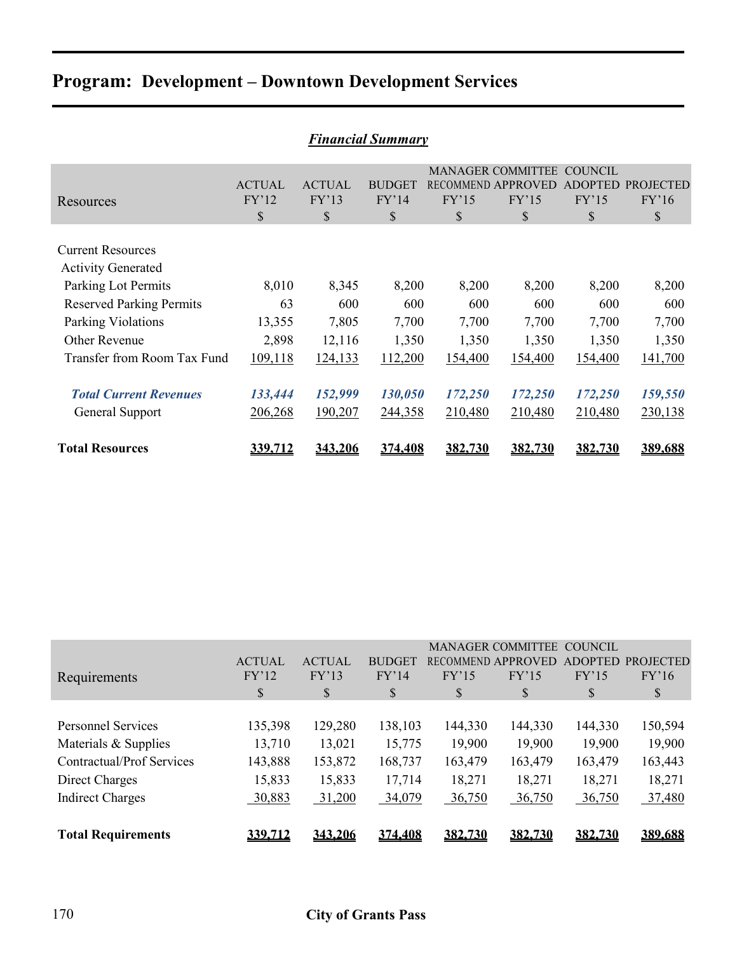| Financial Summary                                                            |                              |                              |                              |                    |                                                               |                                          |                                 |  |  |
|------------------------------------------------------------------------------|------------------------------|------------------------------|------------------------------|--------------------|---------------------------------------------------------------|------------------------------------------|---------------------------------|--|--|
| Resources                                                                    | <b>ACTUAL</b><br>FY'12<br>\$ | <b>ACTUAL</b><br>FY'13<br>\$ | <b>BUDGET</b><br>FY'14<br>\$ | FY'15<br>\$        | <b>MANAGER COMMITTEE</b><br>RECOMMEND APPROVED<br>FY'15<br>\$ | COUNCIL<br><b>ADOPTED</b><br>FY'15<br>\$ | <b>PROJECTED</b><br>FY'16<br>\$ |  |  |
| <b>Current Resources</b><br><b>Activity Generated</b><br>Parking Lot Permits | 8,010                        | 8,345                        | 8,200                        | 8,200              | 8,200                                                         | 8,200                                    | 8,200                           |  |  |
| <b>Reserved Parking Permits</b><br>Parking Violations                        | 63<br>13,355                 | 600<br>7,805                 | 600<br>7,700                 | 600<br>7,700       | 600<br>7,700                                                  | 600<br>7,700                             | 600<br>7,700                    |  |  |
| <b>Other Revenue</b><br>Transfer from Room Tax Fund                          | 2,898<br>109,118             | 12,116<br>124,133            | 1,350<br>112,200             | 1,350<br>154,400   | 1,350<br>154,400                                              | 1,350<br>154,400                         | 1,350<br>141,700                |  |  |
| <b>Total Current Revenues</b><br>General Support                             | 133,444<br>206,268           | 152,999<br>190,207           | 130,050<br>244,358           | 172,250<br>210,480 | 172,250<br>210,480                                            | 172,250<br>210,480                       | 159,550<br>230,138              |  |  |
| <b>Total Resources</b>                                                       | 339,712                      | 343,206                      | 374,408                      | 382,730            | 382,730                                                       | 382,730                                  | 389,688                         |  |  |

| <b>Financial Summary</b> |  |
|--------------------------|--|
|--------------------------|--|

| Requirements                                                                                                                       | <b>ACTUAL</b><br>FY'12<br>S                      | <b>ACTUAL</b><br>FY'13<br>\$                     | <b>BUDGET</b><br>FY'14<br>S                      | FY'15<br>S                                       | <b>MANAGER COMMITTEE</b><br>RECOMMEND APPROVED<br>FY'15<br>S | <b>COUNCIL</b><br><b>ADOPTED</b><br>FY'15<br>S   | <b>PROJECTED</b><br>FY'16<br>S                   |
|------------------------------------------------------------------------------------------------------------------------------------|--------------------------------------------------|--------------------------------------------------|--------------------------------------------------|--------------------------------------------------|--------------------------------------------------------------|--------------------------------------------------|--------------------------------------------------|
| <b>Personnel Services</b><br>Materials & Supplies<br><b>Contractual/Prof Services</b><br>Direct Charges<br><b>Indirect Charges</b> | 135,398<br>13,710<br>143,888<br>15,833<br>30,883 | 129,280<br>13,021<br>153,872<br>15,833<br>31,200 | 138,103<br>15,775<br>168,737<br>17,714<br>34,079 | 144,330<br>19,900<br>163,479<br>18,271<br>36,750 | 144,330<br>19,900<br>163,479<br>18,271<br>36,750             | 144,330<br>19,900<br>163,479<br>18,271<br>36,750 | 150,594<br>19,900<br>163,443<br>18,271<br>37,480 |
| <b>Total Requirements</b>                                                                                                          | <u>339.712</u>                                   | 343.206                                          | 374.408                                          | 382,730                                          | 382,730                                                      | 382,730                                          | 389,688                                          |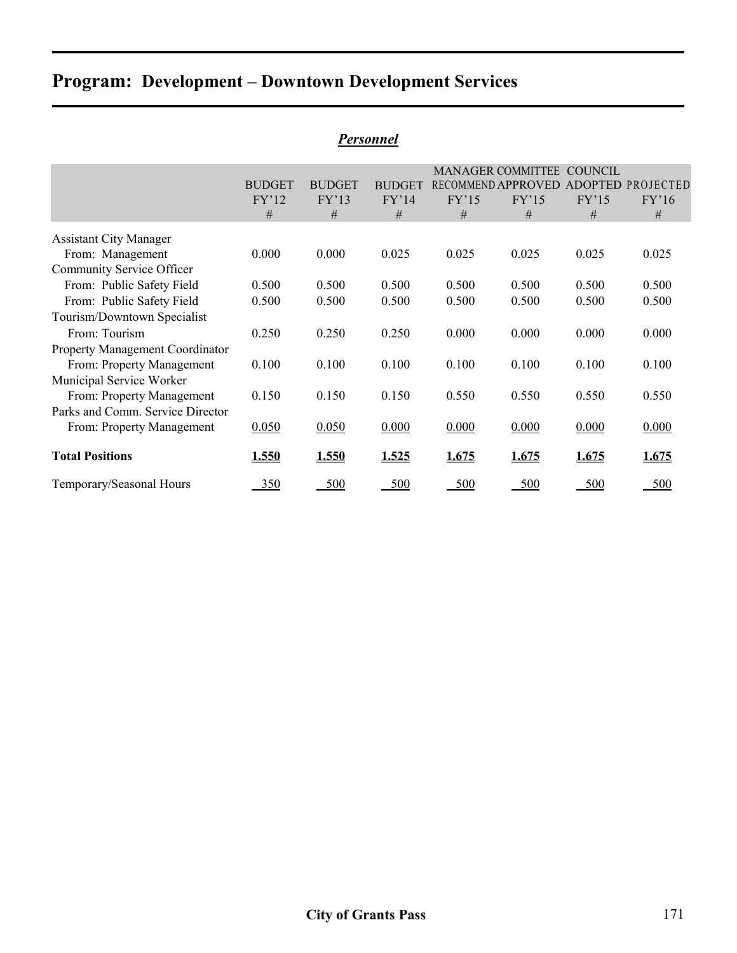|                                  |                             |                             |                             |            | <b>MANAGER COMMITTEE</b>                | COUNCIL                      |                                |
|----------------------------------|-----------------------------|-----------------------------|-----------------------------|------------|-----------------------------------------|------------------------------|--------------------------------|
|                                  | <b>BUDGET</b><br>FY'12<br># | <b>BUDGET</b><br>FY'13<br># | <b>BUDGET</b><br>FY'14<br># | FY'15<br># | <b>RECOMMEND APPROVED</b><br>FY'15<br># | <b>ADOPTED</b><br>FY'15<br># | <b>PROJECTED</b><br>FY'16<br># |
| <b>Assistant City Manager</b>    |                             |                             |                             |            |                                         |                              |                                |
| From: Management                 | 0.000                       | 0.000                       | 0.025                       | 0.025      | 0.025                                   | 0.025                        | 0.025                          |
| Community Service Officer        |                             |                             |                             |            |                                         |                              |                                |
| From: Public Safety Field        | 0.500                       | 0.500                       | 0.500                       | 0.500      | 0.500                                   | 0.500                        | 0.500                          |
| From: Public Safety Field        | 0.500                       | 0.500                       | 0.500                       | 0.500      | 0.500                                   | 0.500                        | 0.500                          |
| Tourism/Downtown Specialist      |                             |                             |                             |            |                                         |                              |                                |
| From: Tourism                    | 0.250                       | 0.250                       | 0.250                       | 0.000      | 0.000                                   | 0.000                        | 0.000                          |
| Property Management Coordinator  |                             |                             |                             |            |                                         |                              |                                |
| From: Property Management        | 0.100                       | 0.100                       | 0.100                       | 0.100      | 0.100                                   | 0.100                        | 0.100                          |
| Municipal Service Worker         |                             |                             |                             |            |                                         |                              |                                |
| From: Property Management        | 0.150                       | 0.150                       | 0.150                       | 0.550      | 0.550                                   | 0.550                        | 0.550                          |
| Parks and Comm. Service Director |                             |                             |                             |            |                                         |                              |                                |
| From: Property Management        | 0.050                       | 0.050                       | 0.000                       | 0.000      | 0.000                                   | 0.000                        | 0.000                          |
| <b>Total Positions</b>           | 1.550                       | <u>1.550</u>                | 1.525                       | 1.675      | 1.675                                   | 1.675                        | 1.675                          |
| Temporary/Seasonal Hours         | 350                         | 500                         | 500                         | <u>500</u> | <u>500</u>                              | 500                          | <u>500</u>                     |

#### *Personnel*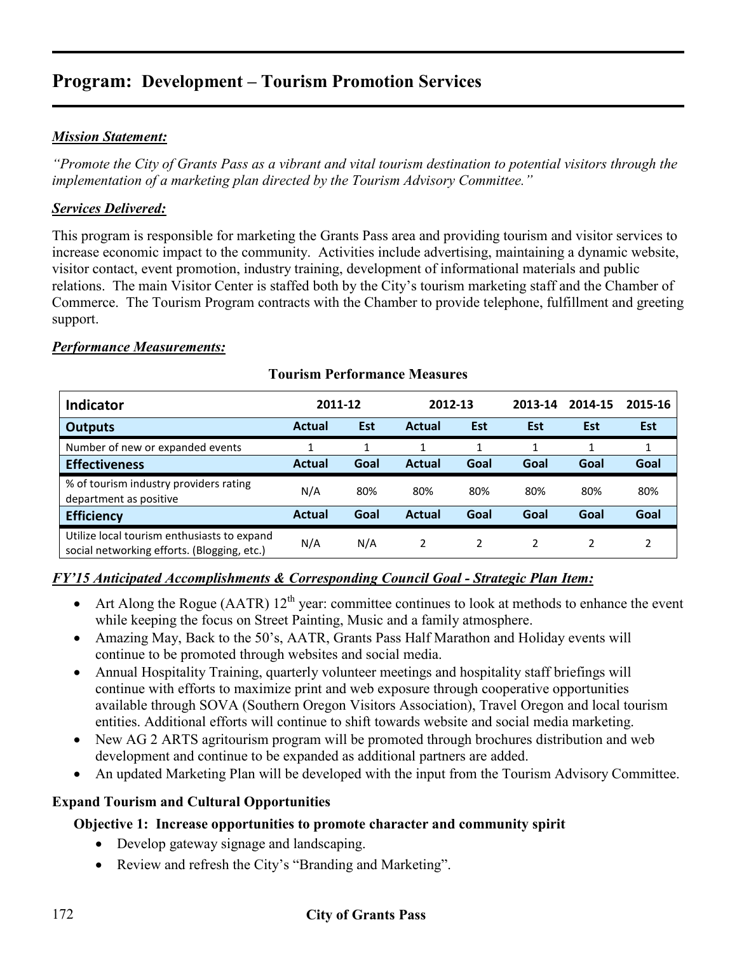#### *Mission Statement:*

*"Promote the City of Grants Pass as a vibrant and vital tourism destination to potential visitors through the implementation of a marketing plan directed by the Tourism Advisory Committee."* 

#### *Services Delivered:*

This program is responsible for marketing the Grants Pass area and providing tourism and visitor services to increase economic impact to the community. Activities include advertising, maintaining a dynamic website, visitor contact, event promotion, industry training, development of informational materials and public relations. The main Visitor Center is staffed both by the City's tourism marketing staff and the Chamber of Commerce. The Tourism Program contracts with the Chamber to provide telephone, fulfillment and greeting support.

#### *Performance Measurements:*

## **Indicator 2011-12 2012-13 2013-14 2014-15 2015-16 Outputs Actual Est Actual Est Est Est Est Est** Number of new or expanded events 1 1 1 1 1 1 1 **Effectiveness Actual Goal Actual Goal Goal Goal Goal** % of tourism industry providers rating % of corrism muustry providers rating  $N/A$  80% 80% 80% 80% 80% 80% 80% 80% **Efficiency Actual Goal Actual Goal Goal Goal Goal** Utilize local tourism enthusiasts to expand social networking efforts. (Blogging, etc.) N/A N/A 2 2 2 2 2

#### **Tourism Performance Measures**

#### *FY'15 Anticipated Accomplishments & Corresponding Council Goal - Strategic Plan Item:*

- Art Along the Rogue (AATR)  $12^{th}$  year: committee continues to look at methods to enhance the event while keeping the focus on Street Painting, Music and a family atmosphere.
- Amazing May, Back to the 50's, AATR, Grants Pass Half Marathon and Holiday events will continue to be promoted through websites and social media.
- Annual Hospitality Training, quarterly volunteer meetings and hospitality staff briefings will continue with efforts to maximize print and web exposure through cooperative opportunities available through SOVA (Southern Oregon Visitors Association), Travel Oregon and local tourism entities. Additional efforts will continue to shift towards website and social media marketing.
- New AG 2 ARTS agritourism program will be promoted through brochures distribution and web development and continue to be expanded as additional partners are added.
- An updated Marketing Plan will be developed with the input from the Tourism Advisory Committee.

#### **Expand Tourism and Cultural Opportunities**

### **Objective 1: Increase opportunities to promote character and community spirit**

- Develop gateway signage and landscaping.
- Review and refresh the City's "Branding and Marketing".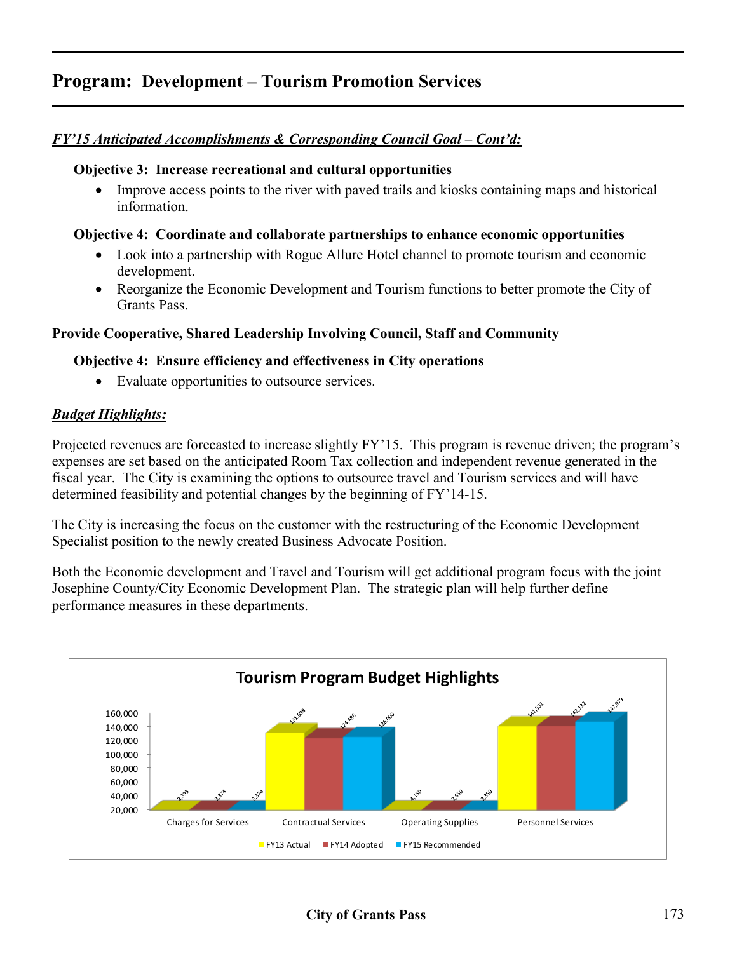#### *FY'15 Anticipated Accomplishments & Corresponding Council Goal – Cont'd:*

#### **Objective 3: Increase recreational and cultural opportunities**

• Improve access points to the river with paved trails and kiosks containing maps and historical information.

#### **Objective 4: Coordinate and collaborate partnerships to enhance economic opportunities**

- Look into a partnership with Rogue Allure Hotel channel to promote tourism and economic development.
- Reorganize the Economic Development and Tourism functions to better promote the City of Grants Pass.

#### **Provide Cooperative, Shared Leadership Involving Council, Staff and Community**

#### **Objective 4: Ensure efficiency and effectiveness in City operations**

• Evaluate opportunities to outsource services.

#### *Budget Highlights:*

Projected revenues are forecasted to increase slightly FY'15. This program is revenue driven; the program's expenses are set based on the anticipated Room Tax collection and independent revenue generated in the fiscal year. The City is examining the options to outsource travel and Tourism services and will have determined feasibility and potential changes by the beginning of FY'14-15.

The City is increasing the focus on the customer with the restructuring of the Economic Development Specialist position to the newly created Business Advocate Position.

Both the Economic development and Travel and Tourism will get additional program focus with the joint Josephine County/City Economic Development Plan. The strategic plan will help further define performance measures in these departments.

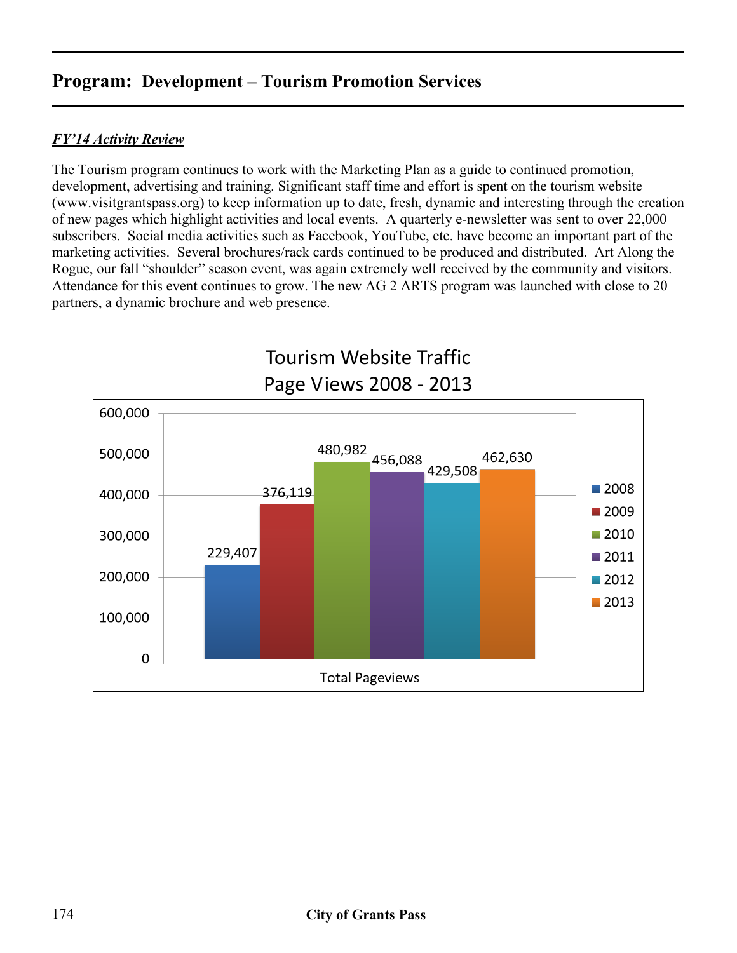### *FY'14 Activity Review*

The Tourism program continues to work with the Marketing Plan as a guide to continued promotion, development, advertising and training. Significant staff time and effort is spent on the tourism website (www.visitgrantspass.org) to keep information up to date, fresh, dynamic and interesting through the creation of new pages which highlight activities and local events. A quarterly e-newsletter was sent to over 22,000 subscribers. Social media activities such as Facebook, YouTube, etc. have become an important part of the marketing activities. Several brochures/rack cards continued to be produced and distributed. Art Along the Rogue, our fall "shoulder" season event, was again extremely well received by the community and visitors. Attendance for this event continues to grow. The new AG 2 ARTS program was launched with close to 20 partners, a dynamic brochure and web presence.



# Tourism Website Traffic Page Views 2008 - 2013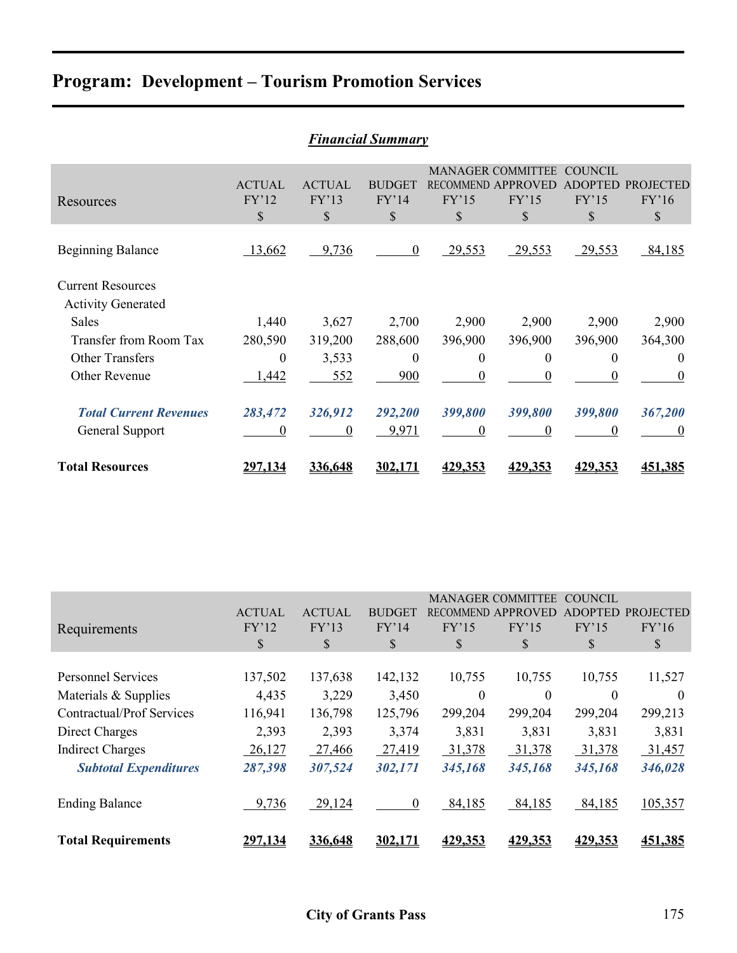| <b>Financial Summary</b>                              |                                        |                              |                              |                                           |                                                     |                                                 |                                 |  |  |
|-------------------------------------------------------|----------------------------------------|------------------------------|------------------------------|-------------------------------------------|-----------------------------------------------------|-------------------------------------------------|---------------------------------|--|--|
| Resources                                             | <b>ACTUAL</b><br>FY'12<br>$\mathbb{S}$ | <b>ACTUAL</b><br>FY'13<br>\$ | <b>BUDGET</b><br>FY'14<br>\$ | <b>RECOMMEND</b><br>FY'15<br>$\mathbb{S}$ | <b>MANAGER COMMITTEE</b><br>APPROVEI<br>FY'15<br>\$ | <b>COUNCIL</b><br><b>ADOPTED</b><br>FY'15<br>\$ | <b>PROJECTED</b><br>FY'16<br>\$ |  |  |
| <b>Beginning Balance</b>                              | 13,662                                 | 9,736                        | $\boldsymbol{0}$             | 29,553                                    | 29,553                                              | 29,553                                          | 84,185                          |  |  |
| <b>Current Resources</b><br><b>Activity Generated</b> |                                        |                              |                              |                                           |                                                     |                                                 |                                 |  |  |
| <b>Sales</b>                                          | 1,440                                  | 3,627                        | 2,700                        | 2,900                                     | 2,900                                               | 2,900                                           | 2,900                           |  |  |
| Transfer from Room Tax                                | 280,590                                | 319,200                      | 288,600                      | 396,900                                   | 396,900                                             | 396,900                                         | 364,300                         |  |  |
| <b>Other Transfers</b>                                | $\boldsymbol{0}$                       | 3,533                        | $\boldsymbol{0}$             | $\overline{0}$                            | $\boldsymbol{0}$                                    | $\theta$                                        | $\theta$                        |  |  |
| Other Revenue                                         | 1,442                                  | 552                          | 900                          | $\theta$                                  | $\theta$                                            | 0                                               | $\theta$                        |  |  |
| <b>Total Current Revenues</b>                         | 283,472                                | 326,912                      | 292,200                      | 399,800                                   | 399,800                                             | 399,800                                         | 367,200                         |  |  |
| General Support                                       | 0                                      | $\boldsymbol{0}$             | 9,971                        | $\boldsymbol{0}$                          | $\theta$                                            | $\theta$                                        | $\theta$                        |  |  |
| <b>Total Resources</b>                                | <u>297,134</u>                         | 336,648                      | 302,171                      | <u>429,353</u>                            | <u>429,353</u>                                      | <u>429.353</u>                                  | 451,385                         |  |  |

|                 |               |               |                  |                | <b>COUNCIL</b>                                           |                  |
|-----------------|---------------|---------------|------------------|----------------|----------------------------------------------------------|------------------|
| <b>ACTUAL</b>   | <b>ACTUAL</b> | <b>BUDGET</b> |                  |                | <b>ADOPTED</b>                                           | <b>PROJECTED</b> |
| FY'12           | FY'13         | FY'14         | FY'15            | FY'15          | FY'15                                                    | FY'16            |
| \$              | \$            | \$            | \$               | \$             | \$                                                       | S                |
|                 |               |               |                  |                |                                                          |                  |
| 137,502         | 137,638       | 142,132       | 10,755           | 10,755         | 10,755                                                   | 11,527           |
| 4,435           | 3,229         | 3,450         | 0                | $\theta$       | 0                                                        | $\theta$         |
| 116,941         | 136,798       | 125,796       | 299,204          | 299,204        | 299,204                                                  | 299,213          |
| 2,393           | 2,393         | 3,374         | 3,831            | 3,831          | 3,831                                                    | 3,831            |
| 26,127          | 27,466        | 27,419        | 31,378           | 31,378         | 31,378                                                   | 31,457           |
| 287,398         | 307,524       | 302,171       | 345,168          | 345,168        | 345,168                                                  | 346,028          |
|                 |               |               |                  |                |                                                          |                  |
|                 |               |               |                  |                |                                                          | 105,357          |
| <u> 297,134</u> | 336,648       | 302,171       | <u>429,353</u>   | <u>429,353</u> | 429,353                                                  | 451,385          |
|                 | 9,736         | 29,124        | $\boldsymbol{0}$ | 84,185         | <b>MANAGER COMMITTEE</b><br>RECOMMEND APPROVED<br>84,185 | 84,185           |